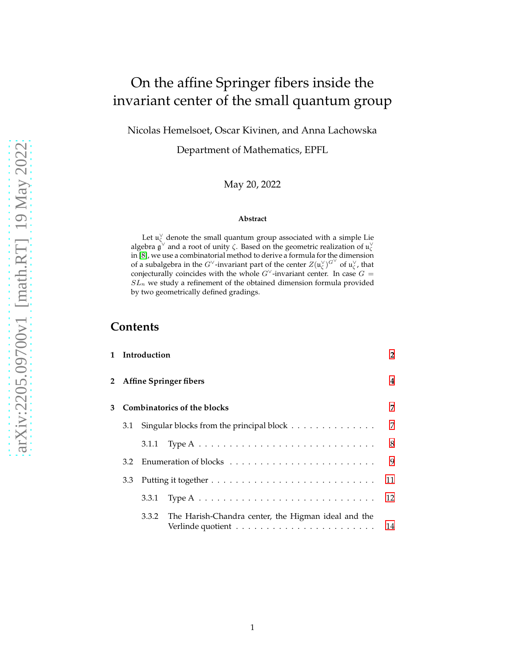# On the affine Springer fibers inside the invariant center of the small quantum group

Nicolas Hemelsoet, Oscar Kivinen, and Anna Lachowska

Department of Mathematics, EPFL

May 20, 2022

#### **Abstract**

Let  $\mathfrak{u}_{\zeta}^{\vee}$  denote the small quantum group associated with a simple Lie algebra  $\mathfrak{g}^{\vee}$  and a root of unity  $\zeta$ . Based on the geometric realization of  $\mathfrak{u}_{\zeta}^{\vee}$ in [\[8\]](#page-24-0), we use a combinatorial method to derive a formula for the dimension of a subalgebra in the G<sup>V</sup>-invariant part of the center  $Z(u_\zeta^{\vee})^{G^\vee}$  of  $u_\zeta^{\vee}$ , that conjecturally coincides with the whole  $G^{\vee}$ -invariant center. In case  $G =$  $SL_n$  we study a refinement of the obtained dimension formula provided by two geometrically defined gradings.

# **Contents**

|   |                             | 1 Introduction                                                                          |  | $\overline{2}$ |
|---|-----------------------------|-----------------------------------------------------------------------------------------|--|----------------|
|   | 2 Affine Springer fibers    |                                                                                         |  | 4              |
| 3 | Combinatorics of the blocks |                                                                                         |  | 7              |
|   | 3.1                         | Singular blocks from the principal block                                                |  | 7              |
|   |                             | Type A $\ldots \ldots \ldots \ldots \ldots \ldots \ldots \ldots \ldots \ldots$<br>3.1.1 |  | 8              |
|   | 3.2                         |                                                                                         |  | 9              |
|   | 3.3                         |                                                                                         |  | 11             |
|   |                             | Type A $\ldots \ldots \ldots \ldots \ldots \ldots \ldots \ldots \ldots \ldots$<br>3.3.1 |  | 12             |
|   |                             | The Harish-Chandra center, the Higman ideal and the<br>3.3.2                            |  | 14             |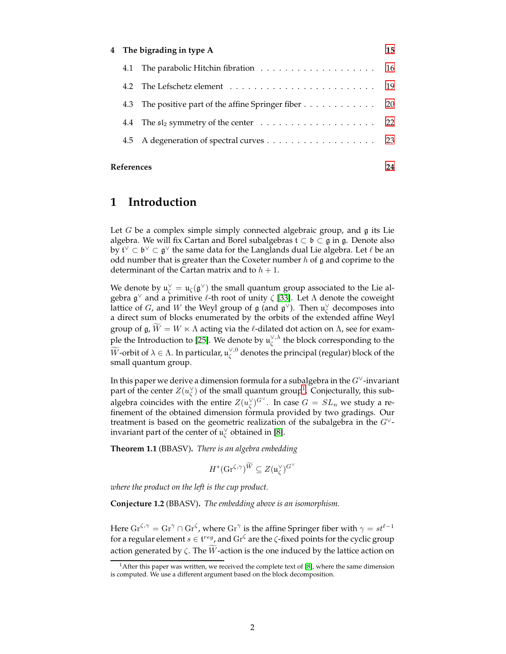|  | 4 The bigrading in type A                             | 15 |
|--|-------------------------------------------------------|----|
|  |                                                       | 16 |
|  |                                                       |    |
|  | 4.3 The positive part of the affine Springer fiber 20 |    |
|  |                                                       |    |
|  |                                                       |    |
|  |                                                       |    |

#### <span id="page-1-0"></span>**References [24](#page-23-0)**

# **1 Introduction**

Let  $G$  be a complex simple simply connected algebraic group, and  $\mathfrak g$  its Lie algebra. We will fix Cartan and Borel subalgebras  $t \subset \mathfrak{b} \subset \mathfrak{g}$  in  $\mathfrak{g}$ . Denote also by  $\mathfrak{t}^\vee\subset\mathfrak{b}^\vee\subset\mathfrak{g}^\vee$  the same data for the Langlands dual Lie algebra. Let  $\ell$  be an odd number that is greater than the Coxeter number  $h$  of  $\mathfrak g$  and coprime to the determinant of the Cartan matrix and to  $h + 1$ .

We denote by  $\mathfrak{u}_{\zeta}^{\vee} = \mathfrak{u}_{\zeta}(\mathfrak{g}^{\vee})$  the small quantum group associated to the Lie algebra  $\mathfrak{g}^{\vee}$  and a primitive  $\ell$ -th root of unity  $\zeta$  [\[33\]](#page-25-0). Let  $\Lambda$  denote the coweight lattice of G, and W the Weyl group of  $\mathfrak g$  (and  $\mathfrak g^{\vee}$ ). Then  $\mathfrak u_{\zeta}^{\vee}$  decomposes into a direct sum of blocks enumerated by the orbits of the extended affine Weyl group of  $\mathfrak{g}, \tilde{W} = W \ltimes \Lambda$  acting via the  $\ell$ -dilated dot action on  $\Lambda$ , see for exam-ple the Introduction to [\[25\]](#page-25-1). We denote by  $\mathfrak{u}^{\vee,\lambda}_\zeta$  the block corresponding to the  $\widetilde{W}$ -orbit of  $\lambda\in\Lambda.$  In particular,  $\mathfrak{u}^{\vee,0}_\zeta$  denotes the principal (regular) block of the small quantum group.

In this paper we derive a dimension formula for a subalgebra in the G<sup>∨</sup>-invariant part of the center  $Z(u_{\zeta}^{\vee})$  of the small quantum group<sup>[1](#page-1-1)</sup>. Conjecturally, this subalgebra coincides with the entire  $Z(u_{\zeta}^{\vee})^{G^{\vee}}$ . In case  $G=SL_n$  we study a refinement of the obtained dimension formula provided by two gradings. Our treatment is based on the geometric realization of the subalgebra in the  $G^{\vee}$ invariant part of the center of  $\mathfrak{u}^\vee_\zeta$  obtained in [\[8\]](#page-24-0).

<span id="page-1-2"></span>**Theorem 1.1** (BBASV)**.** *There is an algebra embedding*

$$
H^*(\mathrm{Gr}^{\zeta,\gamma})^{\widetilde W} \subseteq Z(\mathfrak u_\zeta^\vee)^{G^\vee}
$$

*where the product on the left is the cup product.*

<span id="page-1-3"></span>**Conjecture 1.2** (BBASV)**.** *The embedding above is an isomorphism.*

Here  $\text{Gr}^{\zeta,\gamma} = \text{Gr}^{\gamma} \cap \text{Gr}^{\zeta}$ , where  $\text{Gr}^{\gamma}$  is the affine Springer fiber with  $\gamma = st^{\ell-1}$ for a regular element  $s \in \mathfrak{t}^{reg}$ , and  $\text{Gr}^\zeta$  are the  $\zeta$ -fixed points for the cyclic group action generated by  $\zeta$ . The W-action is the one induced by the lattice action on

<span id="page-1-1"></span><sup>&</sup>lt;sup>1</sup> After this paper was written, we received the complete text of [\[8\]](#page-24-0), where the same dimension is computed. We use a different argument based on the block decomposition.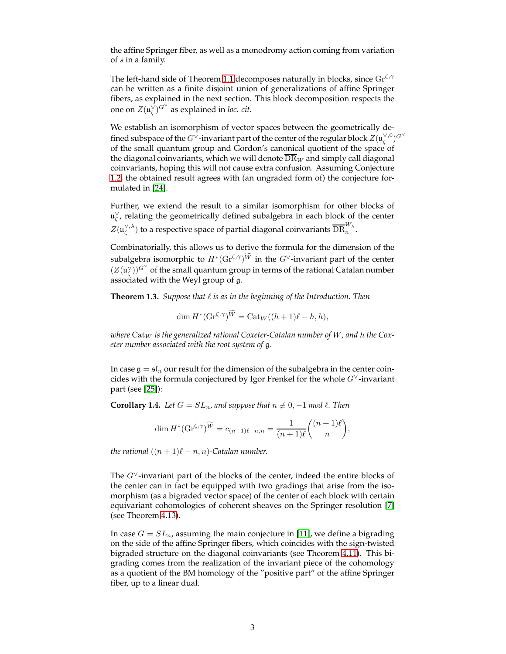the affine Springer fiber, as well as a monodromy action coming from variation of s in a family.

The left-hand side of Theorem [1.1](#page-1-2) decomposes naturally in blocks, since  $\text{Gr}^{\zeta,\gamma}$ can be written as a finite disjoint union of generalizations of affine Springer fibers, as explained in the next section. This block decomposition respects the one on  $Z(\mathfrak{u}_{\zeta}^{\check{\vee}})^{G^{\vee}}$  as explained in *loc. cit.* 

We establish an isomorphism of vector spaces between the geometrically defined subspace of the  $G^{\check{\vee}}$ -invariant part of the center of the regular block  $Z(\mathfrak{u}_\zeta^{\vee,0})^{G^\vee}$ of the small quantum group and Gordon's canonical quotient of the space of the diagonal coinvariants, which we will denote  $DR_W$  and simply call diagonal coinvariants, hoping this will not cause extra confusion. Assuming Conjecture [1.2,](#page-1-3) the obtained result agrees with (an ungraded form of) the conjecture formulated in [\[24\]](#page-25-2).

Further, we extend the result to a similar isomorphism for other blocks of  $\mathfrak{u}_{\zeta}^{\vee}$ , relating the geometrically defined subalgebra in each block of the center  $Z(\mathfrak{u}_\zeta^{\vee,\lambda})$  to a respective space of partial diagonal coinvariants  $\overline{\text{DR}}_n^{W_\lambda}.$ 

Combinatorially, this allows us to derive the formula for the dimension of the subalgebra isomorphic to  $H^*(\text{Gr}^{\zeta,\gamma})^{\widetilde{W}}$  in the  $G^\vee$ -invariant part of the center  $(Z(\mathfrak{u}_\zeta^\vee))^{G^\vee}$  of the small quantum group in terms of the rational Catalan number associated with the Weyl group of g.

<span id="page-2-0"></span>**Theorem 1.3.** *Suppose that* ℓ *is as in the beginning of the Introduction. Then*

$$
\dim H^*(\mathrm{Gr}^{\zeta,\gamma})^{\widetilde{W}} = \mathrm{Cat}_W((h+1)\ell - h, h),
$$

 $\omega$  *where* Cat<sub>W</sub> is the generalized rational Coxeter-Catalan number of W, and h the Cox*eter number associated with the root system of* g*.*

In case  $\mathfrak{g} = \mathfrak{sl}_n$  our result for the dimension of the subalgebra in the center coincides with the formula conjectured by Igor Frenkel for the whole  $G^{\vee}$ -invariant part (see [\[25\]](#page-25-1)):

**Corollary 1.4.** *Let*  $G = SL_n$ , and suppose that  $n \not\equiv 0, -1$  *mod*  $\ell$ . Then

$$
\dim H^*(\mathrm{Gr}^{\zeta,\gamma})^{\widetilde{W}} = c_{(n+1)\ell-n,n} = \frac{1}{(n+1)\ell} \binom{(n+1)\ell}{n},
$$

*the rational*  $((n + 1)\ell - n, n)$ -Catalan number.

The  $G^{\vee}$ -invariant part of the blocks of the center, indeed the entire blocks of the center can in fact be equipped with two gradings that arise from the isomorphism (as a bigraded vector space) of the center of each block with certain equivariant cohomologies of coherent sheaves on the Springer resolution [\[7\]](#page-24-1) (see Theorem [4.13\)](#page-21-1).

In case  $G = SL_n$ , assuming the main conjecture in [\[11\]](#page-24-2), we define a bigrading on the side of the affine Springer fibers, which coincides with the sign-twisted bigraded structure on the diagonal coinvariants (see Theorem [4.11\)](#page-20-0). This bigrading comes from the realization of the invariant piece of the cohomology as a quotient of the BM homology of the "positive part" of the affine Springer fiber, up to a linear dual.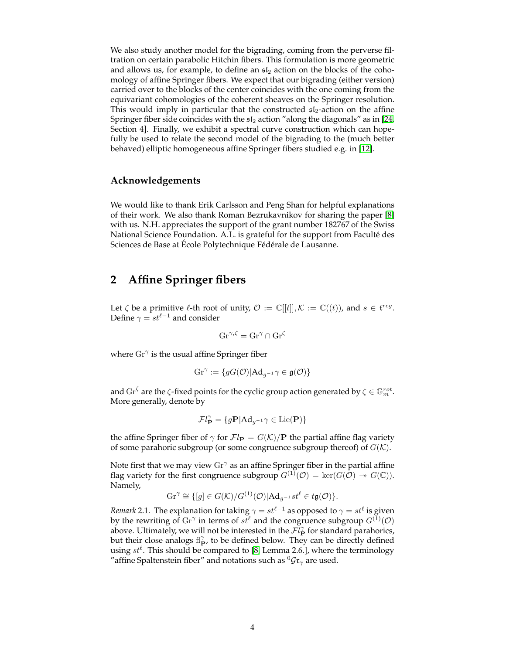We also study another model for the bigrading, coming from the perverse filtration on certain parabolic Hitchin fibers. This formulation is more geometric and allows us, for example, to define an  $sI_2$  action on the blocks of the cohomology of affine Springer fibers. We expect that our bigrading (either version) carried over to the blocks of the center coincides with the one coming from the equivariant cohomologies of the coherent sheaves on the Springer resolution. This would imply in particular that the constructed  $sI_2$ -action on the affine Springer fiber side coincides with the  $\mathfrak{sl}_2$  action "along the diagonals" as in [\[24,](#page-25-2) Section 4]. Finally, we exhibit a spectral curve construction which can hopefully be used to relate the second model of the bigrading to the (much better behaved) elliptic homogeneous affine Springer fibers studied e.g. in [\[12\]](#page-24-3).

### **Acknowledgements**

We would like to thank Erik Carlsson and Peng Shan for helpful explanations of their work. We also thank Roman Bezrukavnikov for sharing the paper [\[8\]](#page-24-0) with us. N.H. appreciates the support of the grant number 182767 of the Swiss National Science Foundation. A.L. is grateful for the support from Faculté des Sciences de Base at École Polytechnique Fédérale de Lausanne.

# <span id="page-3-0"></span>**2 Affine Springer fibers**

Let  $\zeta$  be a primitive  $\ell$ -th root of unity,  $\mathcal{O} := \mathbb{C}[[t]], \mathcal{K} := \mathbb{C}((t)),$  and  $s \in \mathfrak{t}^{reg}$ . Define  $\gamma = st^{\ell-1}$  and consider

$$
\mathrm{Gr}^{\gamma,\zeta} = \mathrm{Gr}^{\gamma} \cap \mathrm{Gr}^{\zeta}
$$

where  $\text{Gr}^{\gamma}$  is the usual affine Springer fiber

$$
\mathrm{Gr}^{\gamma} := \{ gG(\mathcal{O}) | \mathrm{Ad}_{g^{-1}} \gamma \in \mathfrak{g}(\mathcal{O}) \}
$$

and  $\text{Gr}^\zeta$  are the  $\zeta$ -fixed points for the cyclic group action generated by  $\zeta \in \mathbb{G}_m^{rot}$ . More generally, denote by

$$
\mathcal{F}l_{\mathbf{P}}^{\gamma} = \{ g\mathbf{P} | \mathrm{Ad}_{g^{-1}} \gamma \in \mathrm{Lie}(\mathbf{P}) \}
$$

the affine Springer fiber of  $\gamma$  for  $\mathcal{F}l_{\mathbf{P}} = G(\mathcal{K})/\mathbf{P}$  the partial affine flag variety of some parahoric subgroup (or some congruence subgroup thereof) of  $G(K)$ .

Note first that we may view  $\text{Gr}^{\gamma}$  as an affine Springer fiber in the partial affine flag variety for the first congruence subgroup  $G^{(1)}(\mathcal{O}) = \text{ker}(G(\mathcal{O}) \rightarrow G(\mathbb{C}))$ . Namely,

$$
\mathrm{Gr}^{\gamma} \cong \{ [g] \in G(\mathcal{K})/G^{(1)}(\mathcal{O}) | \mathrm{Ad}_{g^{-1}}st^{\ell} \in t\mathfrak{g}(\mathcal{O}) \}.
$$

*Remark* 2.1. The explanation for taking  $\gamma = st^{\ell-1}$  as opposed to  $\gamma = st^{\ell}$  is given by the rewriting of  $\text{Gr}^{\gamma}$  in terms of  $st^{\ell}$  and the congruence subgroup  $G^{(1)}(\mathcal{O})$ above. Ultimately, we will not be interested in the  $\mathcal{F}l_{\mathbf{P}}^{\gamma}$  for standard parahorics, but their close analogs  $f_{\text{P}}^{\gamma}$ , to be defined below. They can be directly defined using  $st^{\ell}$ . This should be compared to [\[8,](#page-24-0) Lemma 2.6.], where the terminology "affine Spaltenstein fiber" and notations such as  ${}^0{\cal G}$ t $_\gamma$  are used.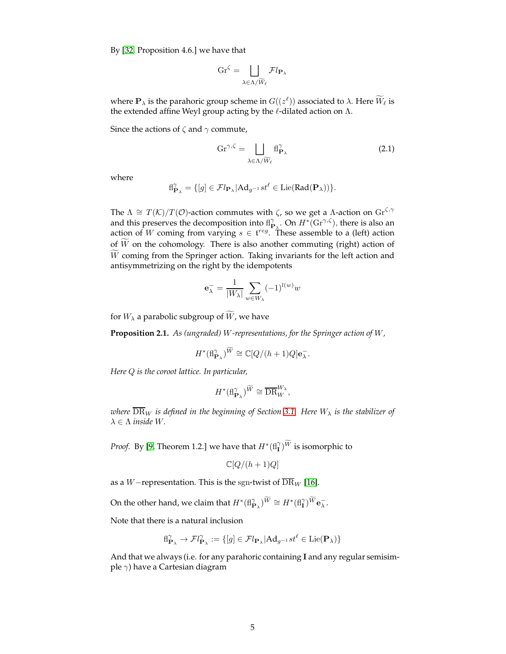By [\[32,](#page-25-3) Proposition 4.6.] we have that

$$
\mathrm{Gr}^\zeta = \bigsqcup_{\lambda \in \Lambda / \widetilde{W}_\ell} \mathcal{F} l_{\mathbf{P}_\lambda}
$$

where  $\mathbf{P}_{\lambda}$  is the parahoric group scheme in  $G((z^{\ell}))$  associated to  $\lambda$ . Here  $\overline{W}_{\ell}$  is the extended affine Weyl group acting by the  $\ell$ -dilated action on  $\Lambda$ .

Since the actions of  $\zeta$  and  $\gamma$  commute,

<span id="page-4-1"></span>
$$
Gr^{\gamma,\zeta} = \bigsqcup_{\lambda \in \Lambda/\widetilde{W}_{\ell}} fl_{\mathbf{P}_{\lambda}}^{\gamma}
$$
 (2.1)

where

$$
{\rm fl}_{{\bf P}_{\lambda}}^{\gamma}=\{[g]\in{\mathcal Fl}_{{\bf P}_{\lambda}}|{\rm Ad}_{g^{-1}}st^{\ell}\in{\rm Lie}({\rm Rad}({\bf P}_{\lambda}))\}.
$$

The  $\Lambda \cong T(\mathcal{K})/T(\mathcal{O})$ -action commutes with  $\zeta$ , so we get a  $\Lambda$ -action on  $\text{Gr}^{\zeta,\gamma}$ and this preserves the decomposition into  $\text{ff}_{\mathbf{P}_{\lambda}}^{\gamma}$ . On  $H^*(\text{Gr}^{\gamma,\zeta})$ , there is also an action of W coming from varying  $s \in \mathfrak{t}^{reg}$ . These assemble to a (left) action of  $\widetilde{W}$  on the cohomology. There is also another commuting (right) action of  $\tilde{W}$  coming from the Springer action. Taking invariants for the left action and antisymmetrizing on the right by the idempotents

$$
\mathbf{e}_{\lambda}^{-} = \frac{1}{|W_{\lambda}|} \sum_{w \in W_{\lambda}} (-1)^{l(w)} w
$$

for  $W_{\lambda}$  a parabolic subgroup of  $\widetilde{W}$ , we have

<span id="page-4-0"></span>**Proposition 2.1.** *As (ungraded)* W*-representations, for the Springer action of* W*,*

$$
H^*(\mathrm{fl}_{\mathbf{P}_\lambda}^{\gamma})^{\widetilde{W}} \cong \mathbb{C}[Q/(h+1)Q]\mathbf{e}_\lambda^-.
$$

*Here* Q *is the coroot lattice. In particular,*

$$
H^*(\mathrm{fl}_{\mathbf{P}_\lambda}^\gamma)^{\widetilde{W}} \cong \overline{\mathrm{DR}}_W^{W_\lambda},
$$

*where*  $\overline{DR}_W$  *is defined in the beginning of Section* [3.1.](#page-6-1) Here  $W_\lambda$  *is the stabilizer of*  $\lambda \in \Lambda$  *inside W.* 

*Proof.* By [\[9,](#page-24-4) Theorem 1.2.] we have that  $H^*(\text{fl}_I^{\gamma})^{\widetilde{W}}$  is isomorphic to

$$
\mathbb{C}[Q/(h+1)Q]
$$

as a W−representation. This is the sgn-twist of  $\overline{\rm DR}_W$  [\[16\]](#page-24-5).

On the other hand, we claim that  $H^*( mathrm{fl}_{\mathbf{P}_\lambda}^\gamma)^{\widetilde W}\cong H^*(\mathrm{fl}_\mathbf{I}^\gamma)^{\widetilde W}\mathbf{e}_\lambda^-$ .

Note that there is a natural inclusion

$$
{\rm fl}_{{\bf P}_{\lambda}}^{\gamma} \to {\cal F}l_{{\bf P}_{\lambda}}^{\gamma}:=\{[g]\in {\cal F}l_{{\bf P}_{\lambda}}|{\rm Ad}_{g^{-1}}st^{\ell}\in {\rm Lie}({\bf P}_{\lambda})\}
$$

And that we always (i.e. for any parahoric containing I and any regular semisimple  $\gamma$ ) have a Cartesian diagram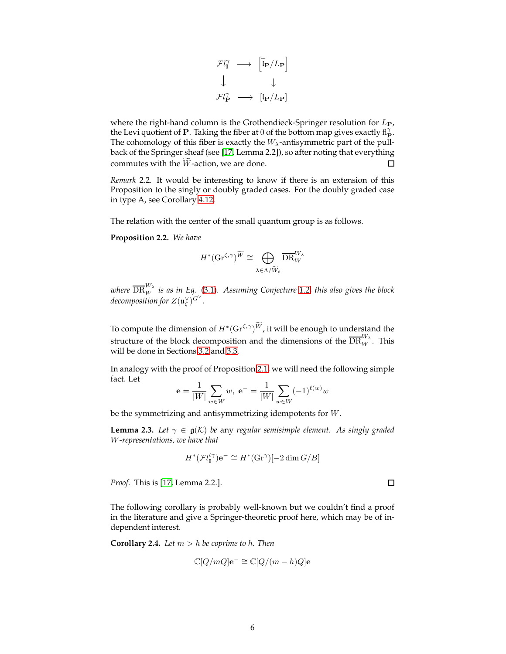$$
\begin{array}{ccc}\n\mathcal{F}l_{\mathbf{I}}^{\gamma} & \longrightarrow & \left[\tilde{l}_{\mathbf{P}}/L_{\mathbf{P}}\right] \\
\downarrow & & \downarrow \\
\mathcal{F}l_{\mathbf{P}}^{\gamma} & \longrightarrow & \left[\ln/L_{\mathbf{P}}\right]\n\end{array}
$$

where the right-hand column is the Grothendieck-Springer resolution for  $L_{\text{P}}$ , the Levi quotient of P. Taking the fiber at 0 of the bottom map gives exactly  $f_{\mathbf{P}}^{\gamma}$ . The cohomology of this fiber is exactly the  $W_{\lambda}$ -antisymmetric part of the pullback of the Springer sheaf (see [\[17,](#page-24-6) Lemma 2.2]), so after noting that everything commutes with the  $\widetilde{W}$ -action, we are done. □

*Remark* 2.2*.* It would be interesting to know if there is an extension of this Proposition to the singly or doubly graded cases. For the doubly graded case in type A, see Corollary [4.12.](#page-20-1)

The relation with the center of the small quantum group is as follows.

**Proposition 2.2.** *We have*

$$
H^*(\mathrm{Gr}^{\zeta,\gamma})^{\widetilde{W}}\cong \bigoplus_{\lambda\in \Lambda/\widetilde{W}_{\ell}}\overline{\mathrm{DR}}_W^{W_{\lambda}}
$$

where  $\overline{\text{DR}}_W^W$  is as in Eq. [\(3.1\)](#page-6-2). Assuming Conjecture [1.2,](#page-1-3) this also gives the block decomposition for  $Z(\mathfrak{u}_\zeta^\vee)^{G^\vee}.$ 

To compute the dimension of  $H^*(\mathrm{Gr}^{\zeta,\gamma})^{\widetilde{W}}$ , it will be enough to understand the structure of the block decomposition and the dimensions of the  $\overline{\text{DR}}^{\overline{W}_{\lambda}}_{W}$ . This will be done in Sections [3.2](#page-8-0) and [3.3.](#page-10-0)

In analogy with the proof of Proposition [2.1,](#page-4-0) we will need the following simple fact. Let

$$
\mathbf{e} = \frac{1}{|W|} \sum_{w \in W} w, \ \mathbf{e}^{-} = \frac{1}{|W|} \sum_{w \in W} (-1)^{\ell(w)} w
$$

be the symmetrizing and antisymmetrizing idempotents for W.

<span id="page-5-0"></span>**Lemma 2.3.** *Let*  $\gamma \in \mathfrak{g}(\mathcal{K})$  *be* any *regular semisimple element. As singly graded* W*-representations, we have that*

$$
H^*(\mathcal{F}l_{\mathbf{I}}^{t\gamma})\mathbf{e}^- \cong H^*(\mathrm{Gr}^{\gamma})[-2\dim G/B]
$$

*Proof.* This is [\[17,](#page-24-6) Lemma 2.2.].

The following corollary is probably well-known but we couldn't find a proof in the literature and give a Springer-theoretic proof here, which may be of independent interest.

**Corollary 2.4.** *Let*  $m > h$  *be coprime to*  $h$ *. Then* 

$$
\mathbb{C}[Q/mQ]\mathbf{e}^{-} \cong \mathbb{C}[Q/(m-h)Q]\mathbf{e}
$$

 $\Box$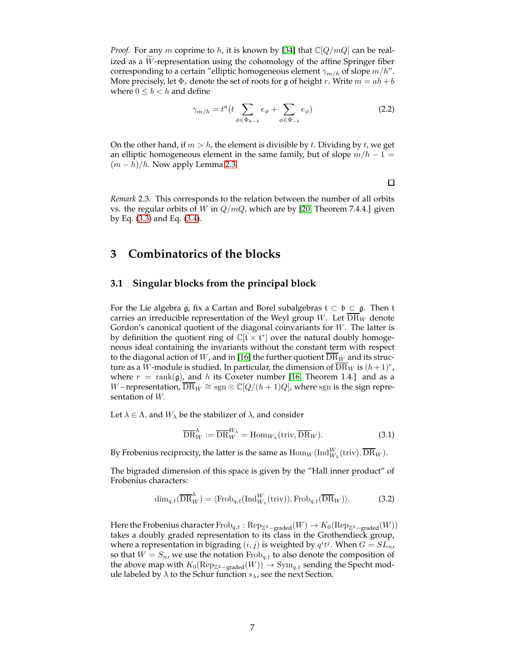*Proof.* For any m coprime to h, it is known by [\[34\]](#page-25-4) that  $\mathbb{C}[Q/mQ]$  can be realized as a  $W$ -representation using the cohomology of the affine Springer fiber corresponding to a certain "elliptic homogeneous element  $\gamma_{m/h}$  of slope  $m/h$ ". More precisely, let  $\Phi_r$  denote the set of roots for g of height r. Write  $m = ah + b$ where  $0 \leq b < h$  and define

<span id="page-6-4"></span>
$$
\gamma_{m/h} = t^a (t \sum_{\phi \in \Phi_{h-b}} e_{\phi} + \sum_{\phi \in \Phi_{-b}} e_{\phi})
$$
\n(2.2)

On the other hand, if  $m > h$ , the element is divisible by t. Dividing by t, we get an elliptic homogeneous element in the same family, but of slope  $m/h - 1 =$  $(m-h)/h$ . Now apply Lemma [2.3.](#page-5-0)

*Remark* 2.3*.* This corresponds to the relation between the number of all orbits vs. the regular orbits of W in  $Q/mQ$ , which are by [\[20,](#page-24-7) Theorem 7.4.4.] given by Eq. [\(3.3\)](#page-8-1) and Eq. [\(3.4\)](#page-9-0).

# <span id="page-6-1"></span><span id="page-6-0"></span>**3 Combinatorics of the blocks**

### **3.1 Singular blocks from the principal block**

For the Lie algebra g, fix a Cartan and Borel subalgebras  $t \subset \mathfrak{b} \subset \mathfrak{g}$ . Then  $t$ carries an irreducible representation of the Weyl group W. Let  $\overline{\rm DR}_W$  denote Gordon's canonical quotient of the diagonal coinvariants for  $W$ . The latter is by definition the quotient ring of  $\mathbb{C}[\mathfrak{t} \times \mathfrak{t}^*]$  over the natural doubly homogeneous ideal containing the invariants without the constant term with respect to the diagonal action of W, and in [\[16\]](#page-24-5) the further quotient  $\overline{DR}_W$  and its structure as a  $W$ -module is studied. In particular, the dimension of  $\overline{\rm DR}_W$  is  $(h+1)^r$  , where  $r = \text{rank}(\mathfrak{g})$ , and h its Coxeter number [\[16,](#page-24-5) Theorem 1.4.] and as a W–representation,  $\overline{\text{DR}}_W \cong \text{sgn} \otimes \mathbb{C}[Q/(h+1)Q]$ , where sgn is the sign representation of W.

Let  $\lambda \in \Lambda$ , and  $W_{\lambda}$  be the stabilizer of  $\lambda$ , and consider

<span id="page-6-2"></span>
$$
\overline{\text{DR}}_W^{\lambda} := \overline{\text{DR}}_W^{W_{\lambda}} = \text{Hom}_{W_{\lambda}}(\text{triv}, \overline{\text{DR}}_W). \tag{3.1}
$$

By Frobenius reciprocity, the latter is the same as  $\mathrm{Hom}_W(\mathrm{Ind}_{W_\lambda}^W(\mathrm{triv}), \overline{\mathrm{DR}}_W).$ 

The bigraded dimension of this space is given by the "Hall inner product" of Frobenius characters:

<span id="page-6-3"></span>
$$
\dim_{q,t}(\overline{\text{DR}}_W^{\lambda}) = \langle \text{Frob}_{q,t}(\text{Ind}_{W_{\lambda}}^W(\text{triv})), \text{Frob}_{q,t}(\overline{\text{DR}}_W) \rangle. \tag{3.2}
$$

Here the Frobenius character  $\mathrm{Frob}_{q,t} : \mathrm{Rep}_{\mathbb{Z}^2-\mathrm{graded}}(W) \to K_0(\mathrm{Rep}_{\mathbb{Z}^2-\mathrm{graded}}(W))$ takes a doubly graded representation to its class in the Grothendieck group, where a representation in bigrading  $(i, j)$  is weighted by  $q^i t^j$ . When  $G = SL_n$ , so that  $W = S_n$ , we use the notation  $Frob_{q,t}$  to also denote the composition of the above map with  $K_0(\text{Rep}_{\mathbb{Z}^2-\text{graded}}(W)) \to \text{Sym}_{q,t}$  sending the Specht module labeled by  $\lambda$  to the Schur function  $s_{\lambda}$ , see the next Section.

 $\Box$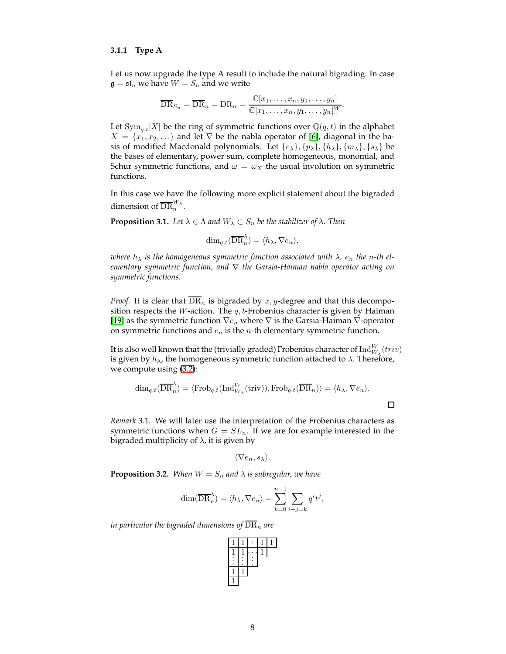#### <span id="page-7-0"></span>**3.1.1 Type A**

Let us now upgrade the type A result to include the natural bigrading. In case  $\mathfrak{g} = \mathfrak{sl}_n$  we have  $W = S_n$  and we write

$$
\overline{\text{DR}}_{S_n} = \overline{\text{DR}}_n = \text{DR}_n = \frac{\mathbb{C}[x_1, \dots, x_n, y_1, \dots, y_n]}{\mathbb{C}[x_1, \dots, x_n, y_1, \dots, y_n]_+^W}
$$

.

 $\Box$ 

Let  $\text{Sym}_{q,t}[X]$  be the ring of symmetric functions over  $\mathbb{Q}(q,t)$  in the alphabet  $X = \{x_1, x_2, \ldots\}$  and let  $\nabla$  be the nabla operator of [\[6\]](#page-24-8), diagonal in the basis of modified Macdonald polynomials. Let  $\{e_\lambda\}, \{p_\lambda\}, \{h_\lambda\}, \{m_\lambda\}, \{s_\lambda\}$  be the bases of elementary, power sum, complete homogeneous, monomial, and Schur symmetric functions, and  $\omega = \omega_X$  the usual involution on symmetric functions.

In this case we have the following more explicit statement about the bigraded dimension of  $\overline{\text{DR}}_n^{W_\lambda}$ .

**Proposition 3.1.** *Let*  $\lambda \in \Lambda$  *and*  $W_{\lambda} \subset S_n$  *be the stabilizer of*  $\lambda$ *. Then* 

$$
\dim_{q,t}(\overline{\text{DR}}_n^{\lambda}) = \langle h_{\lambda}, \nabla e_n \rangle,
$$

*where*  $h_{\lambda}$  *is the homogeneous symmetric function associated with*  $\lambda$ *,*  $e_n$  *the n-th elementary symmetric function, and* ∇ *the Garsia-Haiman nabla operator acting on symmetric functions.*

*Proof.* It is clear that  $\overline{\text{DR}}_n$  is bigraded by x, y-degree and that this decomposition respects the *W*-action. The  $q$ , *t*-Frobenius character is given by Haiman [\[19\]](#page-24-9) as the symmetric function  $\nabla e_n$  where  $\nabla$  is the Garsia-Haiman  $\nabla$ -operator on symmetric functions and  $e_n$  is the *n*-th elementary symmetric function.

It is also well known that the (trivially graded) Frobenius character of  $\mathrm{Ind}_{W_\lambda}^W(triv)$ is given by  $h_{\lambda}$ , the homogeneous symmetric function attached to  $\lambda$ . Therefore, we compute using [\(3.2\)](#page-6-3):

$$
\dim_{q,t}(\overline{\text{DR}}_n^{\lambda}) = \langle \text{Frob}_{q,t}(\text{Ind}_{W_{\lambda}}^W(\text{triv})), \text{Frob}_{q,t}(\overline{\text{DR}}_n) \rangle = \langle h_{\lambda}, \nabla e_n \rangle.
$$

*Remark* 3.1*.* We will later use the interpretation of the Frobenius characters as symmetric functions when  $G = SL_n$ . If we are for example interested in the bigraded multiplicity of  $\lambda$ , it is given by

$$
\langle \nabla e_n, s_\lambda \rangle.
$$

<span id="page-7-1"></span>**Proposition 3.2.** When  $W = S_n$  and  $\lambda$  is subregular, we have

$$
\dim(\overline{\text{DR}}_n^{\lambda}) = \langle h_{\lambda}, \nabla e_n \rangle = \sum_{k=0}^{n-1} \sum_{i+j=k} q^i t^j,
$$

*in particular the bigraded dimensions of*  $\text{DR}_n$  *are* 

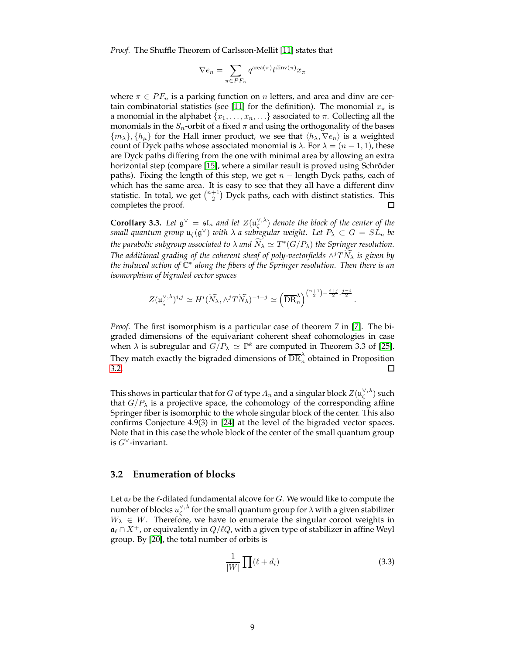*Proof.* The Shuffle Theorem of Carlsson-Mellit [\[11\]](#page-24-2) states that

$$
\nabla e_n = \sum_{\pi \in {\cal PF}_n} q^{\text{area}(\pi)} t^{\text{dinv}(\pi)} x_\pi
$$

where  $\pi \in PF_n$  is a parking function on *n* letters, and area and dinv are cer-tain combinatorial statistics (see [\[11\]](#page-24-2) for the definition). The monomial  $x_{\pi}$  is a monomial in the alphabet  $\{x_1, \ldots, x_n, \ldots\}$  associated to  $\pi$ . Collecting all the monomials in the  $S_n$ -orbit of a fixed  $\pi$  and using the orthogonality of the bases  $\{m_\lambda\}, \{h_\mu\}$  for the Hall inner product, we see that  $\langle h_\lambda, \nabla e_n \rangle$  is a weighted count of Dyck paths whose associated monomial is  $\lambda$ . For  $\lambda = (n-1, 1)$ , these are Dyck paths differing from the one with minimal area by allowing an extra horizontal step (compare [\[15\]](#page-24-10), where a similar result is proved using Schröder paths). Fixing the length of this step, we get  $n -$  length Dyck paths, each of which has the same area. It is easy to see that they all have a different dinv statistic. In total, we get  $\binom{n+1}{2}$  Dyck paths, each with distinct statistics. This completes the proof.  $\Box$ 

**Corollary 3.3.** Let  $\mathfrak{g}^{\vee} = \mathfrak{sl}_n$  and let  $Z(\mathfrak{u}_{\zeta}^{\vee,\lambda})$  denote the block of the center of the small quantum group  $\mathfrak{u}_{\zeta}(\mathfrak{g}^\vee)$  with  $\lambda$  a subregular weight. Let  $P_\lambda\subset G=SL_n$  be the parabolic subgroup associated to  $\lambda$  and  $\widetilde{N}_{\lambda} \simeq T^{*}(G/P_{\lambda})$  the Springer resolution. *The additional grading of the coherent sheaf of poly-vectorfields* ∧ <sup>j</sup>T Nf<sup>λ</sup> *is given by the induced action of* C ∗ *along the fibers of the Springer resolution. Then there is an isomorphism of bigraded vector spaces*

$$
Z(\mathfrak{u}_{\zeta}^{\vee,\lambda})^{i,j} \simeq H^i(\widetilde{N}_{\lambda}, \wedge^j T \widetilde{N}_{\lambda})^{-i-j} \simeq \left(\overline{\mathrm{DR}}_{n}^{\lambda}\right)^{\binom{n+1}{2} - \frac{i+j}{2}, \frac{j-i}{2}}.
$$

*Proof.* The first isomorphism is a particular case of theorem 7 in [\[7\]](#page-24-1). The bigraded dimensions of the equivariant coherent sheaf cohomologies in case when  $\lambda$  is subregular and  $G/P_\lambda \simeq \mathbb{P}^k$  are computed in Theorem 3.3 of [\[25\]](#page-25-1). They match exactly the bigraded dimensions of  $\overline{\text{DR}}^\lambda_n$  obtained in Proposition [3.2.](#page-7-1)

This shows in particular that for  $G$  of type  $A_n$  and a singular block  $Z(\mathfrak{u}_\zeta^{\vee,\lambda})$  such that  $G/P_\lambda$  is a projective space, the cohomology of the corresponding affine Springer fiber is isomorphic to the whole singular block of the center. This also confirms Conjecture 4.9(3) in [\[24\]](#page-25-2) at the level of the bigraded vector spaces. Note that in this case the whole block of the center of the small quantum group is  $G<sup>∨</sup>$ -invariant.

### <span id="page-8-0"></span>**3.2 Enumeration of blocks**

Let  $a_\ell$  be the  $\ell$ -dilated fundamental alcove for  $G$ . We would like to compute the number of blocks  $u_{\zeta}^{\vee,\lambda}$  for the small quantum group for  $\lambda$  with a given stabilizer  $W_{\lambda} \in W$ . Therefore, we have to enumerate the singular coroot weights in  $\mathfrak{a}_{\ell} \cap X^+$ , or equivalently in  $Q/\ell Q$ , with a given type of stabilizer in affine Weyl group. By [\[20\]](#page-24-7), the total number of orbits is

<span id="page-8-1"></span>
$$
\frac{1}{|W|}\prod_{i}(\ell + d_i)
$$
\n(3.3)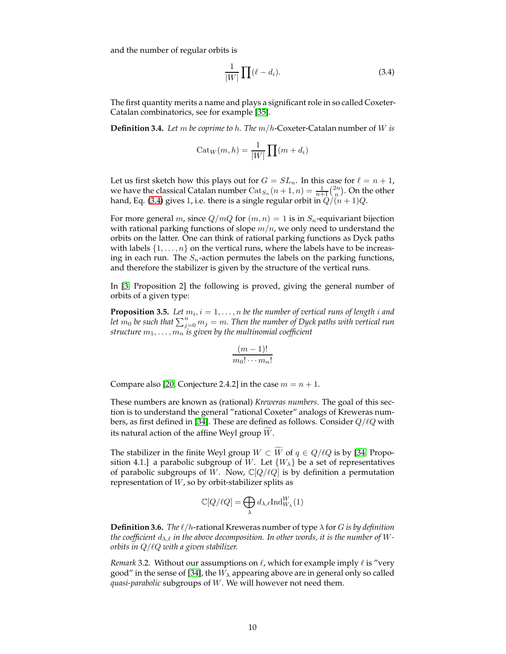and the number of regular orbits is

<span id="page-9-0"></span>
$$
\frac{1}{|W|}\prod_{i}(l - d_i). \tag{3.4}
$$

The first quantity merits a name and plays a significant role in so called Coxeter-Catalan combinatorics, see for example [\[35\]](#page-25-5).

**Definition 3.4.** *Let* m *be coprime to* h*. The* m/h-Coxeter-Catalan number of W *is*

$$
Cat_W(m, h) = \frac{1}{|W|} \prod (m + d_i)
$$

Let us first sketch how this plays out for  $G = SL_n$ . In this case for  $\ell = n + 1$ , we have the classical Catalan number  $\text{Cat}_{S_n}(n+1,n) = \frac{1}{n+1} {2n \choose n}$ . On the other hand, Eq. [\(3.4\)](#page-9-0) gives 1, i.e. there is a single regular orbit in  $Q/(n+1)Q$ .

For more general m, since  $Q/mQ$  for  $(m, n) = 1$  is in  $S_n$ -equivariant bijection with rational parking functions of slope  $m/n$ , we only need to understand the orbits on the latter. One can think of rational parking functions as Dyck paths with labels  $\{1, \ldots, n\}$  on the vertical runs, where the labels have to be increasing in each run. The  $S_n$ -action permutes the labels on the parking functions, and therefore the stabilizer is given by the structure of the vertical runs.

In [\[3,](#page-23-1) Proposition 2] the following is proved, giving the general number of orbits of a given type:

<span id="page-9-1"></span>**Proposition 3.5.** Let  $m_i, i = 1, \ldots, n$  be the number of vertical runs of length  $i$  and let  $\overline{m}_0$  be such that  $\sum_{j=0}^n m_j=m.$  Then the number of Dyck paths with vertical run *structure*  $m_1, \ldots, m_n$  *is given by the multinomial coefficient* 

$$
\frac{(m-1)!}{m_0! \cdots m_n!}
$$

Compare also [\[20,](#page-24-7) Conjecture 2.4.2] in the case  $m = n + 1$ .

These numbers are known as (rational) *Kreweras numbers*. The goal of this section is to understand the general "rational Coxeter" analogs of Kreweras num-bers, as first defined in [\[34\]](#page-25-4). These are defined as follows. Consider  $Q/\ell Q$  with its natural action of the affine Weyl group  $W$ .

The stabilizer in the finite Weyl group  $W \subset W$  of  $q \in Q/\ell Q$  is by [\[34,](#page-25-4) Proposition 4.1.] a parabolic subgroup of W. Let  $\{W_{\lambda}\}\$ be a set of representatives of parabolic subgroups of W. Now,  $\mathbb{C}[Q/\ell Q]$  is by definition a permutation representation of  $W$ , so by orbit-stabilizer splits as

$$
\mathbb{C}[Q/\ell Q] = \bigoplus_{\lambda} d_{\lambda,\ell} \text{Ind}_{W_{\lambda}}^W(1)
$$

**Definition 3.6.** *The*  $\ell/h$ -rational Kreweras number of type  $\lambda$  for G is by definition *the coefficient*  $d_{\lambda,\ell}$  *in the above decomposition. In other words, it is the number of* W *orbits in* Q/ℓQ *with a given stabilizer.*

*Remark* 3.2. Without our assumptions on  $\ell$ , which for example imply  $\ell$  is "very good" in the sense of [\[34\]](#page-25-4), the  $W_{\lambda}$  appearing above are in general only so called *quasi-parabolic* subgroups of W. We will however not need them.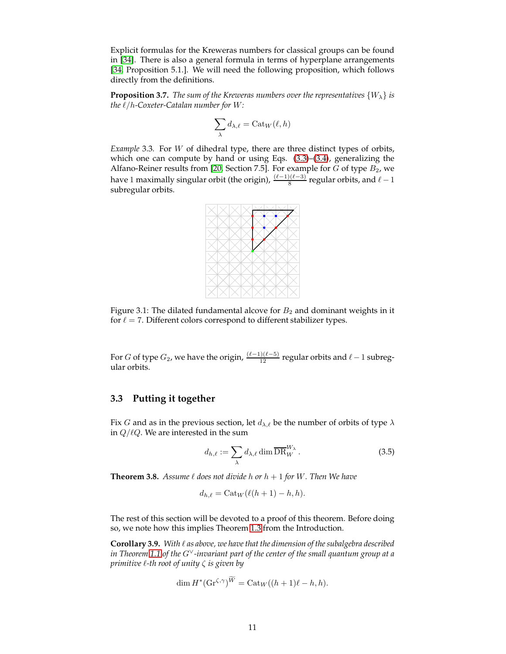Explicit formulas for the Kreweras numbers for classical groups can be found in [\[34\]](#page-25-4). There is also a general formula in terms of hyperplane arrangements [\[34,](#page-25-4) Proposition 5.1.]. We will need the following proposition, which follows directly from the definitions.

**Proposition 3.7.** *The sum of the Kreweras numbers over the representatives*  $\{W_{\lambda}\}\$ is *the* ℓ/h*-Coxeter-Catalan number for* W*:*

$$
\sum_{\lambda} d_{\lambda,\ell} = \mathrm{Cat}_W(\ell,h)
$$

<span id="page-10-4"></span>*Example* 3.3*.* For W of dihedral type, there are three distinct types of orbits, which one can compute by hand or using Eqs. [\(3.3\)](#page-8-1)–[\(3.4\)](#page-9-0), generalizing the Alfano-Reiner results from [\[20,](#page-24-7) Section 7.5]. For example for  $\tilde{G}$  of type  $B_2$ , we have 1 maximally singular orbit (the origin),  $\frac{(\ell-1)(\ell-3)}{8}$  regular orbits, and  $\ell-1$ subregular orbits.



Figure 3.1: The dilated fundamental alcove for  $B_2$  and dominant weights in it for  $\ell = 7$ . Different colors correspond to different stabilizer types.

For  $G$  of type  $G_2$ , we have the origin,  $\frac{(\ell-1)(\ell-5)}{12}$  regular orbits and  $\ell-1$  subregular orbits.

#### <span id="page-10-0"></span>**3.3 Putting it together**

Fix G and as in the previous section, let  $d_{\lambda,\ell}$  be the number of orbits of type  $\lambda$ in  $Q/\ell Q$ . We are interested in the sum

<span id="page-10-2"></span>
$$
d_{h,\ell} := \sum_{\lambda} d_{\lambda,\ell} \dim \overline{\text{DR}}_W^{W_{\lambda}}.
$$
 (3.5)

<span id="page-10-1"></span>**Theorem 3.8.** *Assume*  $\ell$  *does not divide*  $h$  *or*  $h + 1$  *for*  $W$ *. Then We have* 

$$
d_{h,\ell} = \text{Cat}_W(\ell(h+1) - h, h).
$$

The rest of this section will be devoted to a proof of this theorem. Before doing so, we note how this implies Theorem [1.3](#page-2-0) from the Introduction.

<span id="page-10-3"></span>**Corollary 3.9.** *With* ℓ *as above, we have that the dimension of the subalgebra described in Theorem [1.1](#page-1-2) of the* G∨*-invariant part of the center of the small quantum group at a primitive* ℓ*-th root of unity* ζ *is given by*

$$
\dim H^*(\mathrm{Gr}^{\zeta,\gamma})^{\widetilde{W}} = \mathrm{Cat}_W((h+1)\ell - h, h).
$$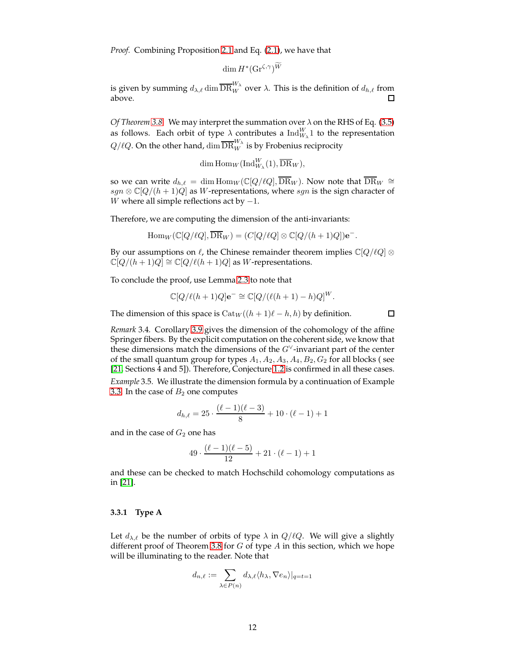*Proof.* Combining Proposition [2.1](#page-4-0) and Eq. [\(2.1\)](#page-4-1), we have that

$$
\dim H^*(\mathrm{Gr}^{\zeta,\gamma})^{\widetilde{W}}
$$

is given by summing  $d_{\lambda,\ell}\dim\overline{\text{DR}}_W^W$  over  $\lambda.$  This is the definition of  $d_{h,\ell}$  from above.

*Of Theorem [3.8.](#page-10-1)* We may interpret the summation over λ on the RHS of Eq. [\(3.5\)](#page-10-2) as follows. Each orbit of type  $\lambda$  contributes a  $\text{Ind}_{W_{\lambda}}^{W} 1$  to the representation  $Q/\ell Q$ . On the other hand,  $\dim \overline{\text{DR}}_{W}^{W_{\lambda}}$  is by Frobenius reciprocity

$$
\dim \mathrm{Hom}_W(\mathrm{Ind}_{W_\lambda}^W(1), \overline{\mathrm{DR}}_W),
$$

so we can write  $d_{h,\ell} = \dim \text{Hom}_W(\mathbb{C}[Q/\ell Q], \overline{\text{DR}}_W)$ . Now note that  $\overline{\text{DR}}_W \cong \mathbb{C}[Q/\ell Q]$ sgn  $\otimes \mathbb{C}[Q/(h+1)Q]$  as W-representations, where sgn is the sign character of W where all simple reflections act by  $-1$ .

Therefore, we are computing the dimension of the anti-invariants:

$$
\operatorname{Hom}_W(\mathbb{C}[Q/\ell Q], \overline{\text{DR}}_W) = (C[Q/\ell Q] \otimes \mathbb{C}[Q/(h+1)Q])\mathbf{e}^-.
$$

By our assumptions on  $\ell$ , the Chinese remainder theorem implies  $\mathbb{C}[Q/\ell Q] \otimes$  $\mathbb{C}[Q/(h+1)Q] \cong \mathbb{C}[Q/\ell(h+1)Q]$  as W-representations.

To conclude the proof, use Lemma [2.3](#page-5-0) to note that

$$
\mathbb{C}[Q/\ell(h+1)Q]\mathbf{e}^{-} \cong \mathbb{C}[Q/(\ell(h+1)-h)Q]^W.
$$

The dimension of this space is  $Cat_W((h + 1)\ell - h, h)$  by definition.

 $\Box$ 

*Remark* 3.4*.* Corollary [3.9](#page-10-3) gives the dimension of the cohomology of the affine Springer fibers. By the explicit computation on the coherent side, we know that these dimensions match the dimensions of the  $G^{\vee}$ -invariant part of the center of the small quantum group for types  $A_1$ ,  $A_2$ ,  $A_3$ ,  $A_4$ ,  $B_2$ ,  $G_2$  for all blocks (see [\[21,](#page-24-11) Sections 4 and 5]). Therefore, Conjecture [1.2](#page-1-3) is confirmed in all these cases.

*Example* 3.5*.* We illustrate the dimension formula by a continuation of Example [3.3.](#page-10-4) In the case of  $B_2$  one computes

$$
d_{h,\ell} = 25 \cdot \frac{(\ell-1)(\ell-3)}{8} + 10 \cdot (\ell-1) + 1
$$

and in the case of  $G_2$  one has

$$
49 \cdot \frac{(\ell-1)(\ell-5)}{12} + 21 \cdot (\ell-1) + 1
$$

and these can be checked to match Hochschild cohomology computations as in [\[21\]](#page-24-11).

#### <span id="page-11-0"></span>**3.3.1 Type A**

Let  $d_{\lambda,\ell}$  be the number of orbits of type  $\lambda$  in  $Q/\ell Q$ . We will give a slightly different proof of Theorem [3.8](#page-10-1) for  $G$  of type  $A$  in this section, which we hope will be illuminating to the reader. Note that

$$
d_{n,\ell} := \sum_{\lambda \in P(n)} d_{\lambda,\ell} \langle h_{\lambda}, \nabla e_n \rangle_{|q=t=1}
$$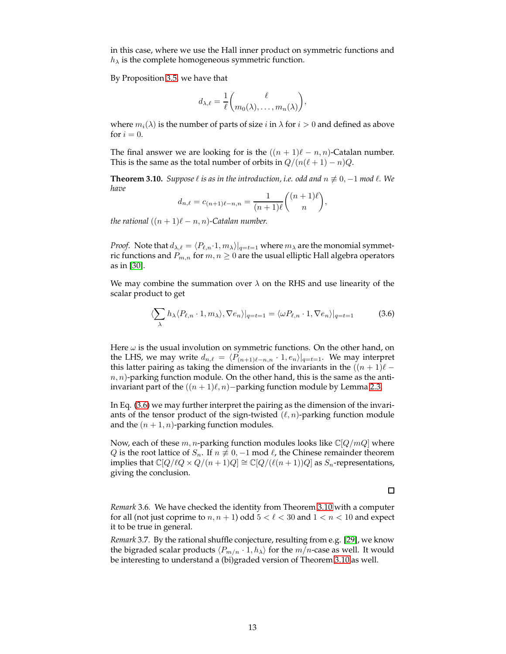in this case, where we use the Hall inner product on symmetric functions and  $h_{\lambda}$  is the complete homogeneous symmetric function.

By Proposition [3.5,](#page-9-1) we have that

$$
d_{\lambda,\ell} = \frac{1}{\ell} \binom{\ell}{m_0(\lambda),\ldots,m_n(\lambda)},
$$

where  $m_i(\lambda)$  is the number of parts of size i in  $\lambda$  for  $i > 0$  and defined as above for  $i = 0$ .

The final answer we are looking for is the  $((n + 1)\ell - n, n)$ -Catalan number. This is the same as the total number of orbits in  $Q/(n(\ell+1) - n)Q$ .

<span id="page-12-1"></span>**Theorem 3.10.** *Suppose*  $\ell$  *is as in the introduction, i.e. odd and*  $n \not\equiv 0, -1$  *mod*  $\ell$ *. We have*

$$
d_{n,\ell} = c_{(n+1)\ell - n,n} = \frac{1}{(n+1)\ell} \binom{(n+1)\ell}{n},
$$

*the rational*  $((n+1)\ell - n, n)$ -Catalan number.

*Proof.* Note that  $d_{\lambda,\ell} = \langle P_{\ell,n} \cdot 1, m_\lambda \rangle|_{q=t=1}$  where  $m_\lambda$  are the monomial symmetric functions and  $P_{m,n}$  for  $m, n \geq 0$  are the usual elliptic Hall algebra operators as in [\[30\]](#page-25-6).

We may combine the summation over  $\lambda$  on the RHS and use linearity of the scalar product to get

<span id="page-12-0"></span>
$$
\langle \sum_{\lambda} h_{\lambda} \langle P_{\ell,n} \cdot 1, m_{\lambda} \rangle, \nabla e_n \rangle |_{q=t=1} = \langle \omega P_{\ell,n} \cdot 1, \nabla e_n \rangle |_{q=t=1}
$$
 (3.6)

Here  $\omega$  is the usual involution on symmetric functions. On the other hand, on the LHS, we may write  $d_{n,\ell} = \langle P_{(n+1)\ell-n,n} \cdot 1, e_n \rangle_{|q=t=1}$ . We may interpret this latter pairing as taking the dimension of the invariants in the  $((n + 1)\ell$  $n, n$ )-parking function module. On the other hand, this is the same as the antiinvariant part of the  $((n + 1)\ell, n)$ –parking function module by Lemma [2.3.](#page-5-0)

In Eq. [\(3.6\)](#page-12-0) we may further interpret the pairing as the dimension of the invariants of the tensor product of the sign-twisted  $(\ell, n)$ -parking function module and the  $(n + 1, n)$ -parking function modules.

Now, each of these  $m, n$ -parking function modules looks like  $\mathbb{C}[Q/mQ]$  where *Q* is the root lattice of  $S_n$ . If  $n \neq 0, -1$  mod  $\ell$ , the Chinese remainder theorem implies that  $\mathbb{C}[Q/\ell Q \times Q/(n+1)Q] \cong \mathbb{C}[Q/(\ell(n+1))Q]$  as  $S_n$ -representations, giving the conclusion.

*Remark* 3.6*.* We have checked the identity from Theorem [3.10](#page-12-1) with a computer for all (not just coprime to  $n, n + 1$ ) odd  $5 < \ell < 30$  and  $1 < n < 10$  and expect it to be true in general.

*Remark* 3.7*.* By the rational shuffle conjecture, resulting from e.g. [\[29\]](#page-25-7), we know the bigraded scalar products  $\langle P_{m/n} \cdot 1, h_{\lambda} \rangle$  for the  $m/n$ -case as well. It would be interesting to understand a (bi)graded version of Theorem [3.10](#page-12-1) as well.

 $\Box$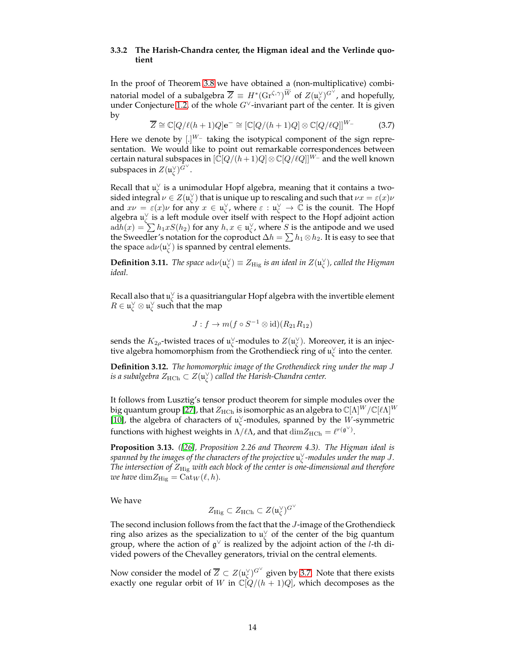#### <span id="page-13-0"></span>**3.3.2 The Harish-Chandra center, the Higman ideal and the Verlinde quotient**

In the proof of Theorem [3.8](#page-10-1) we have obtained a (non-multiplicative) combinatorial model of a subalgebra  $\overline{Z}\,\equiv\,H^*(\mathrm{Gr}^{\zeta,\gamma})^{\widetilde{W}}$  of  $Z(\mathfrak{u}_\zeta^\vee)^{G^\vee}$ , and hopefully, under Conjecture [1.2,](#page-1-3) of the whole  $G^{\vee}$ -invariant part of the center. It is given by

<span id="page-13-1"></span>
$$
\overline{Z} \cong \mathbb{C}[Q/\ell(h+1)Q]e^{-} \cong [\mathbb{C}[Q/(h+1)Q] \otimes \mathbb{C}[Q/\ell Q]]^{W_{-}}
$$
(3.7)

Here we denote by  $[.]^{W-}$  taking the isotypical component of the sign representation. We would like to point out remarkable correspondences between certain natural subspaces in  $[\overline{\mathbb{C}}[Q/(h+1)Q]\otimes \mathbb{C}[Q/\ell Q]]^{W_{-}}$  and the well known subspaces in  $Z(\mathfrak{u}_\zeta^\vee)^{\tilde{G}^\vee}.$ 

Recall that  $\mathfrak{u}_{\zeta}^{\vee}$  is a unimodular Hopf algebra, meaning that it contains a twosided integral  $\nu\in Z(\mathfrak{u}_\zeta^\vee)$  that is unique up to rescaling and such that  $\nu x=\varepsilon(x)\nu$ and  $x\nu = \varepsilon(x)\nu$  for any  $x \in \mathfrak{u}_\zeta^\vee$ , where  $\varepsilon : \mathfrak{u}_\zeta^\vee \to \mathbb{C}$  is the counit. The Hopf algebra  $\mathfrak{u}_\zeta^\vee$  is a left module over itself with respect to the Hopf adjoint action  $\mathrm{ad}h(x) = \sum h_1xS(h_2)$  for any  $h, x \in \mathfrak{u}^{\vee}_{\zeta}$ , where S is the antipode and we used the Sweedler's notation for the coproduct  $\Delta h = \sum h_1 \otimes h_2$ . It is easy to see that the space  $\mathrm{ad}\nu(\mathfrak{u}_{\zeta}^{\vee})$  is spanned by central elements.

**Definition 3.11.** *The space*  $\mathrm{ad}\nu(\mathfrak{u}^{\vee}_{\zeta}) \equiv Z_{\mathrm{Hig}}$  *is an ideal in*  $Z(\mathfrak{u}^{\vee}_{\zeta})$ *, called the Higman ideal.*

Recall also that  $\mathfrak{u}^\vee_\zeta$  is a quasitriangular Hopf algebra with the invertible element  $R\in\mathfrak{u}^\vee_\zeta\otimes\mathfrak{u}^\vee_\zeta$  such that the map

$$
J: f \to m(f \circ S^{-1} \otimes id)(R_{21}R_{12})
$$

sends the  $K_{2\rho}$ -twisted traces of  $\mathfrak{u}_\zeta^\vee$ -modules to  $Z(\mathfrak{u}_\zeta^\vee)$ . Moreover, it is an injective algebra homomorphism from the Grothendieck ring of  $\mathfrak{u}_\zeta^\vee$  into the center.

**Definition 3.12.** *The homomorphic image of the Grothendieck ring under the map* J is a subalgebra  $Z_{\text{HCh}} \subset Z(\mathfrak{u}_\zeta^\vee)$  called the Harish-Chandra center.

It follows from Lusztig's tensor product theorem for simple modules over the big quantum group [\[27\]](#page-25-8), that  $Z_{\text{HCh}}$  is isomorphic as an algebra to  $\mathbb{C}[\Lambda]^W/\mathbb{C}[\ell\Lambda]^W$ [\[10\]](#page-24-12), the algebra of characters of  $\mathfrak{u}_{\zeta}^{\vee}$ -modules, spanned by the W-symmetric functions with highest weights in  $\Lambda/\ell\Lambda$ , and that  $\dim\ Z_{\rm HCh}=\ell^{r(\mathfrak{g}^{\vee})}.$ 

**Proposition 3.13.** *([\[26\]](#page-25-9), Proposition 2.26 and Theorem 4.3). The Higman ideal is spanned by the images of the characters of the projective* u ∨ ζ *-modules under the map* J*. The intersection of* ZHig *with each block of the center is one-dimensional and therefore we have*  $\dim Z_{\text{Hig}} = \text{Cat}_W(\ell, h)$ *.* 

We have

$$
Z_{\rm Hig} \subset Z_{\rm HCh} \subset Z(\mathfrak{u}_\zeta^\vee)^{G^\vee}
$$

The second inclusion follows from the fact that the J-image of the Grothendieck ring also arizes as the specialization to  $\mathfrak{u}_{\zeta}^{\vee}$  of the center of the big quantum group, where the action of  $\mathfrak{g}^{\vee}$  is realized by the adjoint action of the *l*-th divided powers of the Chevalley generators, trivial on the central elements.

Now consider the model of  $\overline{Z} \subset Z(\mathfrak{u}_\zeta^\vee)^{G^\vee}$  given by [3.7.](#page-13-1) Note that there exists exactly one regular orbit of W in  $\mathbb{C}[Q/(h+1)Q]$ , which decomposes as the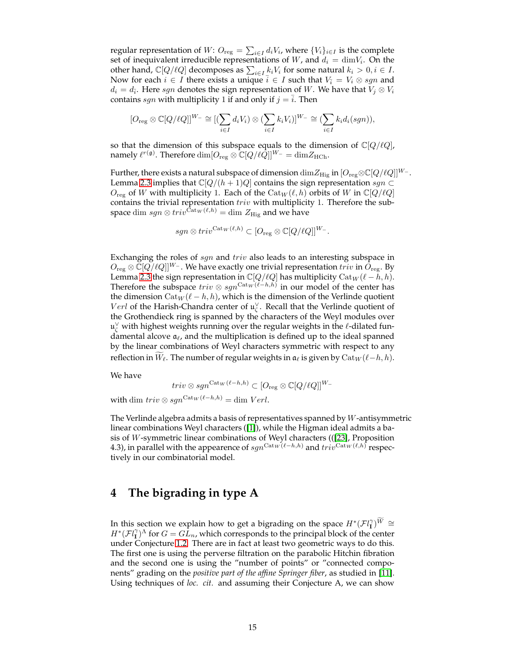regular representation of  $W: O_{\text{reg}} = \sum_{i \in I} d_i V_i$ , where  $\{V_i\}_{i \in I}$  is the complete set of inequivalent irreducible representations of W, and  $d_i = \dim V_i$ . On the other hand,  $\mathbb{C}[Q/\ell Q]$  decomposes as  $\sum_{i\in I} \underline{k}_i V_i$  for some natural  $k_i > 0, i \in I$ . Now for each  $i \in I$  there exists a unique  $i \in I$  such that  $V_{\overline{i}} = V_i \otimes sgn$  and  $d_i = d_{\bar{i}}.$  Here  $sgn$  denotes the sign representation of  $W.$  We have that  $V_j \otimes V_i$ contains sgn with multiplicity 1 if and only if  $j = i$ . Then

$$
[O_{\text{reg}} \otimes \mathbb{C}[Q/\ell Q]]^{W_{-}} \cong [(\sum_{i \in I} d_i V_i) \otimes (\sum_{i \in I} k_i V_i)]^{W_{-}} \cong (\sum_{i \in I} k_i d_i (sgn)),
$$

so that the dimension of this subspace equals to the dimension of  $\mathbb{C}[Q/\ell Q]$ , namely  $\ell^{r(\mathfrak{g})}.$  Therefore  $\dim[O_{\text{reg}}\otimes \mathbb{C}[Q/\ell Q]]^{W_-}=\dim Z_{\text{HCh}}.$ 

Further, there exists a natural subspace of dimension  $\dim Z_{\mathrm{Hig}}$  in  $[O_{\mathrm{reg}} \otimes \mathbb{C}[Q/\ell Q]]^{W_-}$ . Lemma [2.3](#page-5-0) implies that  $\mathbb{C}[Q/(h+1)Q]$  contains the sign representation  $sgn \subset$  $O_{reg}$  of W with multiplicity 1. Each of the  $Cat_W(\ell, h)$  orbits of W in  $\mathbb{C}[Q/\ell Q]$ contains the trivial representation  $triv$  with multiplicity 1. Therefore the subspace dim  $sgn \otimes triv^{\text{Cat}_W(\ell,h)} = \dim Z_{\text{Hig}}$  and we have

$$
sgn \otimes triv^{\mathrm{Cat}_W(\ell,h)} \subset [O_{\mathrm{reg}} \otimes \mathbb{C}[Q/\ell Q]]^{W_-}.
$$

Exchanging the roles of sgn and triv also leads to an interesting subspace in  $O_{\text{reg}} \otimes \mathbb{C}[Q/\ell Q]]^{W_{-}}$ . We have exactly one trivial representation  $triv$  in  $O_{\text{reg}}$ . By Lemma [2.3](#page-5-0) the sign representation in  $\mathbb{C}[Q/\ell Q]$  has multiplicity  $\text{Cat}_W(\ell-h,h)$ . Therefore the subspace  $triv \otimes sgn^{{\rm Cat}_{W}(\ell-h,h)}$  in our model of the center has the dimension  $\text{Cat}_W(\ell - h, h)$ , which is the dimension of the Verlinde quotient *Verl* of the Harish-Chandra center of  $\mathfrak{u}_{\zeta}^{\vee}$ . Recall that the Verlinde quotient of the Grothendieck ring is spanned by the characters of the Weyl modules over  $\mathfrak{u}^\vee_\zeta$  with highest weights running over the regular weights in the  $\ell$ -dilated fundamental alcove  $a_{\ell}$ , and the multiplication is defined up to the ideal spanned by the linear combinations of Weyl characters symmetric with respect to any reflection in  $W_{\ell}$ . The number of regular weights in  $\mathfrak{a}_{\ell}$  is given by  $\text{Cat}_W(\ell-h, h)$ .

We have

$$
triv \otimes sgn^{{\rm Cat}_W(\ell-h,h)} \subset [O_{\rm reg} \otimes \mathbb{C}[Q/\ell Q]]^{W}.
$$

with dim  $triv \otimes sgn^{\text{Cat}_W(\ell-h,h)} = \dim Verl.$ 

The Verlinde algebra admits a basis of representatives spanned by  $W$ -antisymmetric linear combinations Weyl characters ([\[1\]](#page-23-2)), while the Higman ideal admits a basis of W-symmetric linear combinations of Weyl characters (([\[23\]](#page-25-10), Proposition 4.3), in parallel with the appearence of  $sgn^{\text{Cat}_W(\ell-h,h)}$  and  $triv^{\text{Cat}_W(\ell,h)}$  respectively in our combinatorial model.

# <span id="page-14-0"></span>**4 The bigrading in type A**

In this section we explain how to get a bigrading on the space  $H^*(\mathcal{F}l_{\mathbf{I}}^{\gamma})^{\widetilde{W}} \cong \mathbb{R}$  $H^*(\mathcal{F}l_1^{\gamma})^{\Lambda}$  for  $G = G\hat{L}_n$ , which corresponds to the principal block of the center under Conjecture [1.2.](#page-1-3) There are in fact at least two geometric ways to do this. The first one is using the perverse filtration on the parabolic Hitchin fibration and the second one is using the "number of points" or "connected components" grading on the *positive part of the affine Springer fiber*, as studied in [\[11\]](#page-24-2). Using techniques of *loc. cit.* and assuming their Conjecture A, we can show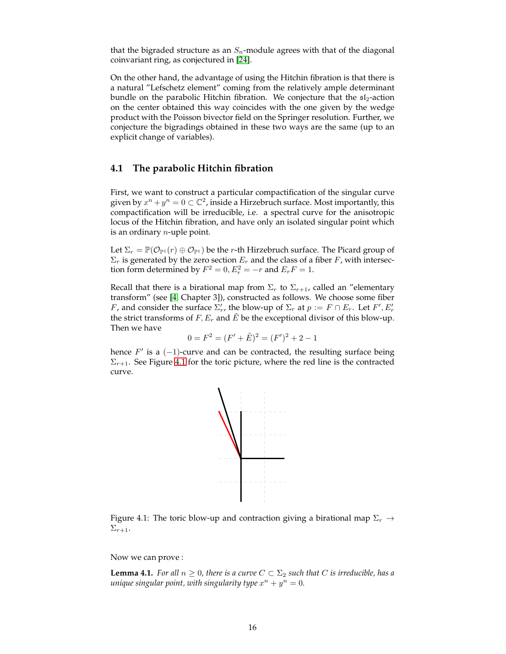that the bigraded structure as an  $S_n$ -module agrees with that of the diagonal coinvariant ring, as conjectured in [\[24\]](#page-25-2).

On the other hand, the advantage of using the Hitchin fibration is that there is a natural "Lefschetz element" coming from the relatively ample determinant bundle on the parabolic Hitchin fibration. We conjecture that the  $s1<sub>2</sub>$ -action on the center obtained this way coincides with the one given by the wedge product with the Poisson bivector field on the Springer resolution. Further, we conjecture the bigradings obtained in these two ways are the same (up to an explicit change of variables).

### <span id="page-15-0"></span>**4.1 The parabolic Hitchin fibration**

First, we want to construct a particular compactification of the singular curve given by  $x^n + y^n = 0 \subset \mathbb{C}^2$ , inside a Hirzebruch surface. Most importantly, this compactification will be irreducible, i.e. a spectral curve for the anisotropic locus of the Hitchin fibration, and have only an isolated singular point which is an ordinary  $n$ -uple point.

Let  $\Sigma_r = \mathbb{P}(\mathcal{O}_{\mathbb{P}^1}(r) \oplus \mathcal{O}_{\mathbb{P}^1})$  be the r-th Hirzebruch surface. The Picard group of  $\Sigma_r$  is generated by the zero section  $E_r$  and the class of a fiber F, with intersection form determined by  $F^2 = 0$ ,  $E_r^2 = -r$  and  $E_r F = 1$ .

Recall that there is a birational map from  $\Sigma_r$  to  $\Sigma_{r+1}$ , called an "elementary transform" (see [\[4,](#page-23-3) Chapter 3]), constructed as follows. We choose some fiber *F*, and consider the surface  $\Sigma'_r$ , the blow-up of  $\Sigma_r$  at  $p := F \cap E_r$ . Let  $F', E'_r$ the strict transforms of F,  $E_r$  and  $\tilde{E}$  be the exceptional divisor of this blow-up. Then we have

$$
0 = F^2 = (F' + \tilde{E})^2 = (F')^2 + 2 - 1
$$

hence  $F'$  is a  $(-1)$ -curve and can be contracted, the resulting surface being  $\Sigma_{r+1}$ . See Figure [4.1](#page-15-1) for the toric picture, where the red line is the contracted curve.



<span id="page-15-1"></span>Figure 4.1: The toric blow-up and contraction giving a birational map  $\Sigma_r \rightarrow$  $\Sigma_{r+1}.$ 

Now we can prove :

<span id="page-15-2"></span>**Lemma 4.1.** *For all*  $n \geq 0$ *, there is a curve*  $C \subset \Sigma_2$  *such that* C *is irreducible, has a unique singular point, with singularity type*  $x^n + y^n = 0$ .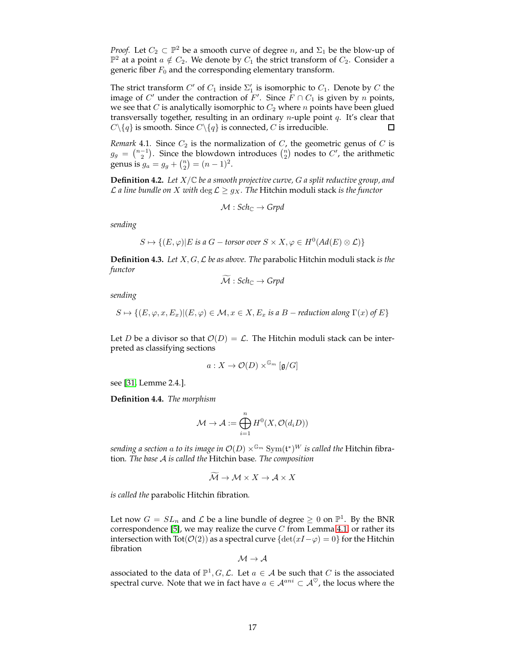*Proof.* Let  $C_2 \subset \mathbb{P}^2$  be a smooth curve of degree n, and  $\Sigma_1$  be the blow-up of  $\mathbb{P}^2$  at a point  $a \notin C_2$ . We denote by  $C_1$  the strict transform of  $C_2$ . Consider a generic fiber  $F_0$  and the corresponding elementary transform.

The strict transform  $C'$  of  $C_1$  inside  $\Sigma'_1$  is isomorphic to  $C_1$ . Denote by  $C$  the image of  $C'$  under the contraction of  $F'$ . Since  $\overline{F} \cap C_1$  is given by  $n$  points, we see that  $C$  is analytically isomorphic to  $C_2$  where  $n$  points have been glued transversally together, resulting in an ordinary  $n$ -uple point  $q$ . It's clear that  $C \setminus \{q\}$  is smooth. Since  $C \setminus \{q\}$  is connected, C is irreducible.  $\Box$ 

*Remark* 4.1*.* Since  $C_2$  is the normalization of  $C$ , the geometric genus of  $C$  is  $g_g = \binom{n-1}{2}$ . Since the blowdown introduces  $\binom{n}{2}$  nodes to C', the arithmetic genus is  $g_a = g_g + {n \choose 2} = (n-1)^2$ .

**Definition 4.2.** *Let* X/C *be a smooth projective curve,* G *a split reductive group, and*  $\mathcal L$  *a line bundle on X with*  $\deg \mathcal L \geq g_X$ *. The Hitchin moduli stack is the functor* 

$$
\mathcal{M}: \mathit{Sch}_{\mathbb{C}} \to \mathit{Grpd}
$$

*sending*

$$
S \mapsto \{(E, \varphi) | E \text{ is a } G - \text{torsor over } S \times X, \varphi \in H^0(\text{Ad}(E) \otimes \mathcal{L})\}
$$

**Definition 4.3.** *Let* X, G,L *be as above. The* parabolic Hitchin moduli stack *is the functor*

$$
\mathcal{M}: Sch_{\mathbb{C}} \to Grpd
$$

*sending*

$$
S \mapsto \{ (E, \varphi, x, E_x) | (E, \varphi) \in \mathcal{M}, x \in X, E_x \text{ is a } B - \text{reduction along } \Gamma(x) \text{ of } E \}
$$

Let D be a divisor so that  $\mathcal{O}(D) = \mathcal{L}$ . The Hitchin moduli stack can be interpreted as classifying sections

$$
a: X \to \mathcal{O}(D) \times^{\mathbb{G}_m} [\mathfrak{g}/G]
$$

see [\[31,](#page-25-11) Lemme 2.4.].

<span id="page-16-0"></span>**Definition 4.4.** *The morphism*

$$
\mathcal{M} \to \mathcal{A} := \bigoplus_{i=1}^n H^0(X, \mathcal{O}(d_i D))
$$

sending a section  $a$  to its image in  $\mathcal{O}(D) \times^{\mathbb{G}_m} \text{Sym}(\mathfrak{t}^*)^W$  is called the Hitchin fibration*. The base* A *is called the* Hitchin base*. The composition*

$$
\widetilde{\mathcal{M}} \to \mathcal{M} \times X \to \mathcal{A} \times X
$$

*is called the* parabolic Hitchin fibration*.*

Let now  $G = SL_n$  and  $\mathcal L$  be a line bundle of degree  $\geq 0$  on  $\mathbb P^1$ . By the BNR correspondence [\[5\]](#page-24-13), we may realize the curve  $C$  from Lemma [4.1,](#page-15-2) or rather its intersection with Tot( $O(2)$ ) as a spectral curve {det(xI− $\varphi$ ) = 0} for the Hitchin fibration

$$
\mathcal{M} \to \mathcal{A}
$$

associated to the data of  $\mathbb{P}^1$ ,  $G, \mathcal{L}$ . Let  $a \in \mathcal{A}$  be such that  $C$  is the associated spectral curve. Note that we in fact have  $a \in \mathcal{A}^{ani} \subset \mathcal{A}^{\heartsuit}$ , the locus where the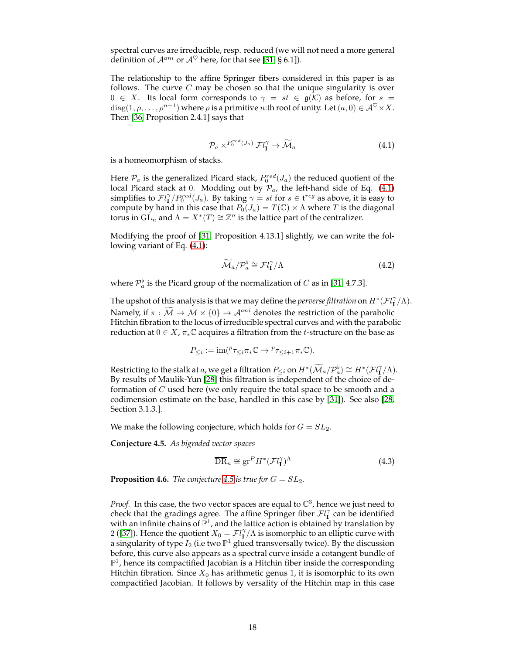spectral curves are irreducible, resp. reduced (we will not need a more general definition of  $\mathcal{A}^{ani}$  or  $\mathcal{A}^{\heartsuit}$  here, for that see [\[31,](#page-25-11) § 6.1]).

The relationship to the affine Springer fibers considered in this paper is as follows. The curve  $C$  may be chosen so that the unique singularity is over  $0 \in X$ . Its local form corresponds to  $\gamma = st \in \mathfrak{g}(\mathcal{K})$  as before, for  $s =$  $diag(1, \rho, \ldots, \rho^{n-1})$  where  $\rho$  is a primitive *n*:th root of unity. Let  $(a, 0) \in \mathcal{A}^{\heartsuit} \times X$ . Then [\[36,](#page-25-12) Proposition 2.4.1] says that

<span id="page-17-0"></span>
$$
\mathcal{P}_a \times^{P_0^{red}(J_a)} \mathcal{F}l_{\mathbf{I}}^{\gamma} \to \widetilde{\mathcal{M}}_a \tag{4.1}
$$

is a homeomorphism of stacks.

Here  $\mathcal{P}_a$  is the generalized Picard stack,  $P_0^{red}(J_a)$  the reduced quotient of the local Picard stack at 0. Modding out by  $\mathcal{P}_a$ , the left-hand side of Eq. [\(4.1\)](#page-17-0) simplifies to  $\mathcal{F}^{l}_{\mathbf{I}}/P^{red}_{0}(J_a)$ . By taking  $\gamma = st$  for  $s \in \mathfrak{t}^{reg}$  as above, it is easy to compute by hand in this case that  $P_0(J_a) = T(\mathbb{C}) \times \Lambda$  where T is the diagonal torus in  $GL_n$  and  $\Lambda = X^*(T) \cong \mathbb{Z}^n$  is the lattice part of the centralizer.

Modifying the proof of [\[31,](#page-25-11) Proposition 4.13.1] slightly, we can write the following variant of Eq. [\(4.1\)](#page-17-0):

$$
\widetilde{\mathcal{M}}_a / \mathcal{P}_a^{\flat} \cong \mathcal{F} l_{\mathbf{I}}^{\gamma} / \Lambda \tag{4.2}
$$

where  $\mathcal{P}_a^{\flat}$  is the Picard group of the normalization of  $C$  as in [\[31,](#page-25-11) 4.7.3].

The upshot of this analysis is that we may define the *perverse filtration* on  $H^*(\mathcal{F}l^{\gamma}_{\mathbf{I}}/\Lambda)$ . Namely, if  $\pi : \tilde{M} \to \mathcal{M} \times \{0\} \to \mathcal{A}^{ani}$  denotes the restriction of the parabolic Hitchin fibration to the locus of irreducible spectral curves and with the parabolic reduction at  $0 \in X$ ,  $\pi_* \mathbb{C}$  acquires a filtration from the *t*-structure on the base as

$$
P_{\leq i} := \operatorname{im} ({}^p \tau_{\leq i} \pi_* \mathbb{C} \to {}^p \tau_{\leq i+1} \pi_* \mathbb{C}).
$$

Restricting to the stalk at  $a$ , we get a filtration  $P_{\leq i}$  on  $H^*(\widetilde{\mathcal M}_a/\mathcal P_a^{\flat})\cong H^*(\mathcal F l_\mathbf I^{\gamma}/\Lambda).$ By results of Maulik-Yun [\[28\]](#page-25-13) this filtration is independent of the choice of deformation of C used here (we only require the total space to be smooth and a codimension estimate on the base, handled in this case by [\[31\]](#page-25-11)). See also [\[28,](#page-25-13) Section 3.1.3.].

We make the following conjecture, which holds for  $G = SL_2$ .

<span id="page-17-1"></span>**Conjecture 4.5.** *As bigraded vector spaces*

<span id="page-17-2"></span>
$$
\overline{\text{DR}}_n \cong \text{gr}^P H^* (\mathcal{F}l_1^\gamma)^\Lambda \tag{4.3}
$$

**Proposition 4.6.** *The conjecture* [4.5](#page-17-1) *is true for*  $G = SL_2$ *.* 

*Proof.* In this case, the two vector spaces are equal to  $\mathbb{C}^3$ , hence we just need to check that the gradings agree. The affine Springer fiber  $Fl_I^{\gamma}$  can be identified with an infinite chains of  $\mathbb{P}^1$ , and the lattice action is obtained by translation by 2 ([\[37\]](#page-25-14)). Hence the quotient  $X_0 = \mathcal{F} l_1^{\gamma}/\Lambda$  is isomorphic to an elliptic curve with a singularity of type  $I_2$  (i.e two  $\mathbb{P}^1$  glued transversally twice). By the discussion before, this curve also appears as a spectral curve inside a cotangent bundle of  $\mathbb{P}^1$ , hence its compactified Jacobian is a Hitchin fiber inside the corresponding Hitchin fibration. Since  $X_0$  has arithmetic genus 1, it is isomorphic to its own compactified Jacobian. It follows by versality of the Hitchin map in this case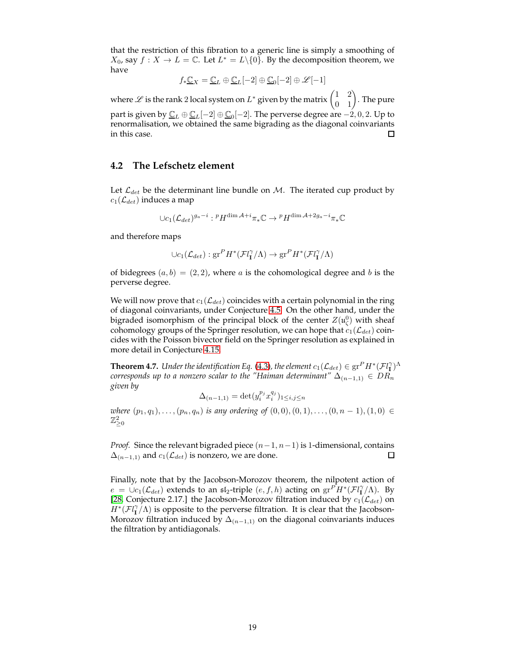that the restriction of this fibration to a generic line is simply a smoothing of  $X_0$ , say  $f: X \to L = \mathbb{C}$ . Let  $L^* = L \setminus \{0\}$ . By the decomposition theorem, we have

$$
f_*\underline{\mathbb{C}}_X = \underline{\mathbb{C}}_L \oplus \underline{\mathbb{C}}_L[-2] \oplus \underline{\mathbb{C}}_0[-2] \oplus \mathscr{L}[-1]
$$

where  $\mathscr L$  is the rank 2 local system on  $L^*$  given by the matrix  $\begin{pmatrix} 1 & 2 \ 0 & 1 \end{pmatrix}$ . The pure part is given by  $\underline{\mathbb{C}}_L\oplus\underline{\mathbb{C}}_L[-2]\oplus\underline{\mathbb{C}}_0[-2].$  The perverse degree are  $-2,0,2.$  Up to renormalisation, we obtained the same bigrading as the diagonal coinvariants in this case. П

### <span id="page-18-0"></span>**4.2 The Lefschetz element**

Let  $\mathcal{L}_{det}$  be the determinant line bundle on M. The iterated cup product by  $c_1(\mathcal{L}_{det})$  induces a map

$$
\cup c_1(\mathcal{L}_{det})^{g_a-i}: {^pH^{\dim \mathcal{A}+i}\pi_*\mathbb{C}} \to {^pH^{\dim \mathcal{A}+2g_a-i}\pi_*\mathbb{C}}
$$

and therefore maps

$$
\cup c_1(\mathcal{L}_{det}): \mathrm{gr}^P H^*(\mathcal{F}l_1^{\gamma}/\Lambda) \to \mathrm{gr}^P H^*(\mathcal{F}l_1^{\gamma}/\Lambda)
$$

of bidegrees  $(a, b) = (2, 2)$ , where a is the cohomological degree and b is the perverse degree.

We will now prove that  $c_1(\mathcal{L}_{det})$  coincides with a certain polynomial in the ring of diagonal coinvariants, under Conjecture [4.5.](#page-17-1) On the other hand, under the bigraded isomorphism of the principal block of the center  $Z(\mathfrak{u}^0_\zeta)$  with sheaf cohomology groups of the Springer resolution, we can hope that  $c_1(\mathcal{L}_{det})$  coincides with the Poisson bivector field on the Springer resolution as explained in more detail in Conjecture [4.15.](#page-21-2)

<span id="page-18-1"></span>**Theorem 4.7.** *Under the identification Eq.* [\(4.3\)](#page-17-2), the element  $c_1(\mathcal{L}_{det}) \in \text{gr}^P H^*(\mathcal{F}l_1^{\gamma})^{\Lambda}$ *corresponds up to a nonzero scalar to the "Haiman determinant"*  $\Delta_{(n-1,1)} \in DR_n$ *given by*

$$
\Delta_{(n-1,1)}=\det(y_i^{p_j}x_i^{q_j})_{1\leq i,j\leq n}
$$

*where*  $(p_1, q_1), \ldots, (p_n, q_n)$  *is any ordering of*  $(0, 0), (0, 1), \ldots, (0, n - 1), (1, 0) \in$  $\mathbb{Z}_{\geq 0}^2$ 

*Proof.* Since the relevant bigraded piece  $(n-1, n-1)$  is 1-dimensional, contains  $\Delta_{(n-1,1)}$  and  $c_1(\mathcal{L}_{det})$  is nonzero, we are done.  $\Box$ 

Finally, note that by the Jacobson-Morozov theorem, the nilpotent action of  $e = \bigcup_{c_1} C_{det}$ ) extends to an  $\mathfrak{sl}_2$ -triple  $(e, f, h)$  acting on  $gr \tilde{H}^*(\mathcal{F}l_1^{\gamma}/\Lambda)$ . By [\[28,](#page-25-13) Conjecture 2.17.] the Jacobson-Morozov filtration induced by  $c_1(\mathcal{L}_{det})$  on  $H^*(\mathcal{F}l^{\gamma}_1/\Lambda)$  is opposite to the perverse filtration. It is clear that the Jacobson-Morozov filtration induced by  $\Delta_{(n-1,1)}$  on the diagonal coinvariants induces the filtration by antidiagonals.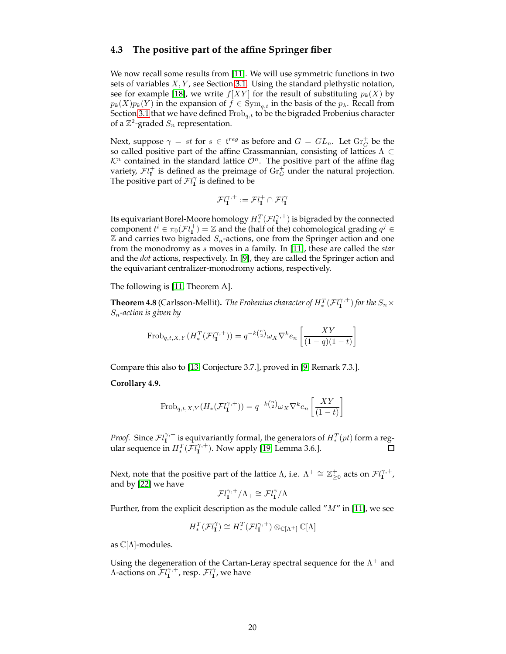### <span id="page-19-0"></span>**4.3 The positive part of the affine Springer fiber**

We now recall some results from [\[11\]](#page-24-2). We will use symmetric functions in two sets of variables  $X, Y$ , see Section [3.1.](#page-6-1) Using the standard plethystic notation, see for example [\[18\]](#page-24-14), we write  $f[XY]$  for the result of substituting  $p_k(X)$  by  $p_k(X)p_k(Y)$  in the expansion of  $f \in Sym_{q,t}$  in the basis of the  $p_\lambda$ . Recall from Section [3.1](#page-6-1) that we have defined  $Frob_{q,t}$  to be the bigraded Frobenius character of a  $\mathbb{Z}^2$ -graded  $S_n$  representation.

Next, suppose  $\gamma = st$  for  $s \in \mathfrak{t}^{reg}$  as before and  $G = GL_n$ . Let  $\mathrm{Gr}^+_G$  be the so called positive part of the affine Grassmannian, consisting of lattices  $\Lambda \subset$  $\mathcal{K}^n$  contained in the standard lattice  $\mathcal{O}^n$ . The positive part of the affine flag variety,  $\mathcal{F}l_{\bf I}^{+}$  is defined as the preimage of  $\mathrm{Gr}_G^+$  under the natural projection. The positive part of  $Fl_{\mathbf{I}}^{\gamma}$  is defined to be

$$
\mathcal{F}l^{\gamma,+}_\mathbf{I}:=\mathcal{F}l^+_\mathbf{I}\cap\mathcal{F}l^\gamma_\mathbf{I}
$$

Its equivariant Borel-Moore homology  $H_*^T(\mathcal{F}l^{\gamma,+}_\mathbf{I})$  is bigraded by the connected component  $t^i \in \pi_0(\mathcal{F}l^+_1) = \mathbb{Z}$  and the (half of the) cohomological grading  $q^j \in \mathbb{Z}$  $\mathbb Z$  and carries two bigraded  $S_n$ -actions, one from the Springer action and one from the monodromy as s moves in a family. In [\[11\]](#page-24-2), these are called the *star* and the *dot* actions, respectively. In [\[9\]](#page-24-4), they are called the Springer action and the equivariant centralizer-monodromy actions, respectively.

The following is [\[11,](#page-24-2) Theorem A].

**Theorem 4.8** (Carlsson-Mellit). *The Frobenius character of*  $H_*^T(\mathcal{F}l_1^{\gamma,+})$  *for the*  $S_n \times$ Sn*-action is given by*

$$
\text{Frob}_{q,t,X,Y}(H^T_*(\mathcal{F}l^{\gamma,+}_\mathbf{I})) = q^{-k\binom{n}{2}}\omega_X \nabla^k e_n \left[ \frac{XY}{(1-q)(1-t)} \right]
$$

Compare this also to [\[13,](#page-24-15) Conjecture 3.7.], proved in [\[9,](#page-24-4) Remark 7.3.].

**Corollary 4.9.**

$$
\text{Frob}_{q,t,X,Y}(H_*(\mathcal{F}l_1^{\gamma,+})) = q^{-k\binom{n}{2}} \omega_X \nabla^k e_n \left[ \frac{XY}{(1-t)} \right]
$$

*Proof.* Since  $\mathcal{F}l_{\mathbf{I}}^{\gamma,+}$  is equivariantly formal, the generators of  $H_*^T(pt)$  form a regular sequence in  $H_*^T(\mathcal{F}l_1^{\gamma,+})$ . Now apply [\[19,](#page-24-9) Lemma 3.6.]. П

Next, note that the positive part of the lattice  $\Lambda$ , i.e.  $\Lambda^+\cong \mathbb{Z}_{\geq 0}^+$  acts on  $\mathcal Fl^{\gamma,+}_{\bf I}$ , and by [\[22\]](#page-24-16) we have

$$
\mathcal{F}l_{\bf I}^{\gamma,+}/\Lambda_+\cong \mathcal{F}l_{\bf I}^{\gamma}/\Lambda
$$

Further, from the explicit description as the module called " $M$ " in [\[11\]](#page-24-2), we see

$$
H^T_*(\mathcal{F}l^{\gamma}_\mathbf{I})\cong H^T_*(\mathcal{F}l^{\gamma,+}_\mathbf{I})\otimes_{\mathbb{C}[\Lambda^+]}\mathbb{C}[\Lambda]
$$

as  $\mathbb{C}[\Lambda]$ -modules.

Using the degeneration of the Cartan-Leray spectral sequence for the  $\Lambda^+$  and A-actions on  $\mathcal{F}l_{\mathbf{I}}^{\gamma,+}$ , resp.  $\mathcal{F}l_{\mathbf{I}}^{\gamma}$ , we have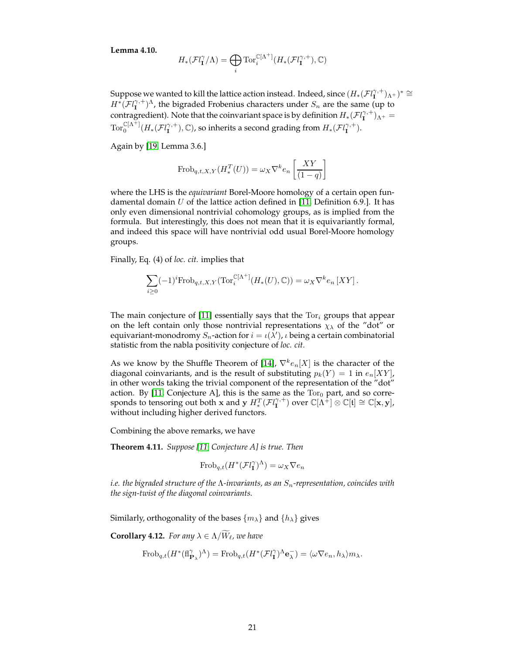**Lemma 4.10.**

$$
H_*(\mathcal{F}l_{\mathbf{I}}^{\gamma}/\Lambda)=\bigoplus_i \mathrm{Tor}_i^{\mathbb{C}[\Lambda^+]}(H_*(\mathcal{F}l_{\mathbf{I}}^{\gamma,+}),\mathbb{C})
$$

Suppose we wanted to kill the lattice action instead. Indeed, since  $(H_*(\mathcal{F}l^{\gamma,+}_\mathbf{I})_{\Lambda^+})^*\cong$  $H^*(\mathcal{F}l_1^{\gamma,+})^{\Lambda}$ , the bigraded Frobenius characters under  $S_n$  are the same (up to contragredient). Note that the coinvariant space is by definition  $H_*(\mathcal{F}l^{\gamma,+}_\mathbf{I})_{\Lambda^+}=$  $\operatorname{Tor}_0^{\mathbb C[\Lambda^+]}(H_*(\mathcal{FI}_\mathbf I^{\gamma,+}), \mathbb C)$ , so inherits a second grading from  $H_*(\mathcal{FI}_\mathbf I^{\gamma,+}).$ 

Again by [\[19,](#page-24-9) Lemma 3.6.]

$$
\operatorname{Frob}_{q,t,X,Y}(H_*^T(U)) = \omega_X \nabla^k e_n \left[ \frac{XY}{(1-q)} \right]
$$

where the LHS is the *equivariant* Borel-Moore homology of a certain open fundamental domain  $U$  of the lattice action defined in [\[11,](#page-24-2) Definition 6.9.]. It has only even dimensional nontrivial cohomology groups, as is implied from the formula. But interestingly, this does not mean that it is equivariantly formal, and indeed this space will have nontrivial odd usual Borel-Moore homology groups.

Finally, Eq. (4) of *loc. cit.* implies that

$$
\sum_{i\geq 0} (-1)^i \mathrm{Frob}_{q,t,X,Y}(\mathrm{Tor}_i^{\mathbb{C}[\Lambda^+]}(H_*(U),\mathbb{C})) = \omega_X \nabla^k e_n \left[ XY \right].
$$

The main conjecture of [\[11\]](#page-24-2) essentially says that the  $Tor_i$  groups that appear on the left contain only those nontrivial representations  $\chi_{\lambda}$  of the "dot" or equivariant-monodromy  $S_n$ -action for  $i = \iota(\bar{\lambda}')$ ,  $\iota$  being a certain combinatorial statistic from the nabla positivity conjecture of *loc. cit.*

As we know by the Shuffle Theorem of [\[14\]](#page-24-17),  $\nabla^k e_n[X]$  is the character of the diagonal coinvariants, and is the result of substituting  $p_k(Y) = 1$  in  $e_n[XY]$ , in other words taking the trivial component of the representation of the "dot" action. By [\[11,](#page-24-2) Conjecture A], this is the same as the  $Tor_0$  part, and so corresponds to tensoring out both x and y  $H^T_*(\mathcal{F}l^{\gamma,+}_\mathbf{I})$  over  $\mathbb{C}[\Lambda^{\hat{+}}]\otimes \mathbb{C}[\mathfrak{t}]\cong \mathbb{C}[\mathbf{x},\mathbf{y}]$ , without including higher derived functors.

Combining the above remarks, we have

<span id="page-20-0"></span>**Theorem 4.11.** *Suppose [\[11,](#page-24-2) Conjecture A] is true. Then*

$$
\text{Frob}_{q,t}(H^*(\mathcal{F}l_1^\gamma)^\Lambda) = \omega_X \nabla e_n
$$

*i.e. the bigraded structure of the Λ-invariants, as an S<sub>n</sub>-representation, coincides with the sign-twist of the diagonal coinvariants.*

Similarly, orthogonality of the bases  $\{m_{\lambda}\}\$  and  $\{h_{\lambda}\}\$  gives

<span id="page-20-1"></span>**Corollary 4.12.** *For any*  $\lambda \in \Lambda/\widetilde{W}_{\ell}$ *, we have* 

$$
\mathrm{Frob}_{q,t}(H^*(\mathrm{fl}_{\mathbf{P}_\lambda}^\gamma)^\Lambda)=\mathrm{Frob}_{q,t}(H^*(\mathcal{F}\mathrm{l}_\mathbf{I}^\gamma)^\Lambda \mathbf{e}_\lambda^-)=\langle \omega\nabla e_n, h_\lambda\rangle m_\lambda.
$$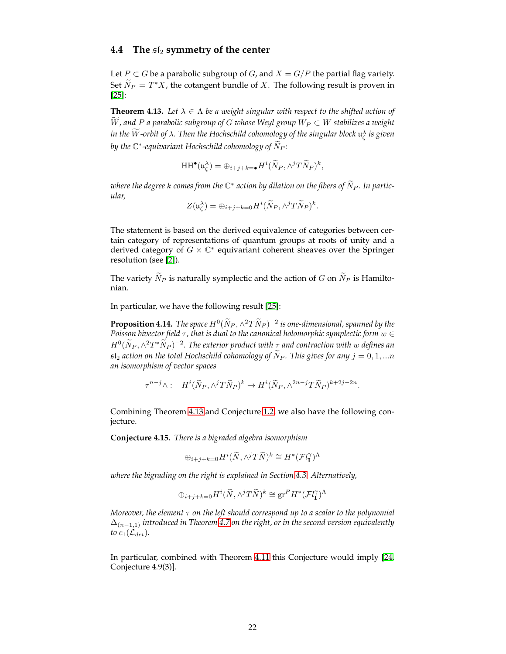### <span id="page-21-0"></span>**4.4** The  $sI_2$  symmetry of the center

Let  $P \subset G$  be a parabolic subgroup of G, and  $X = G/P$  the partial flag variety. Set  $\widetilde{N}_P = T^*X$ , the cotangent bundle of X. The following result is proven in [\[25\]](#page-25-1):

<span id="page-21-1"></span>**Theorem 4.13.** Let  $\lambda \in \Lambda$  be a weight singular with respect to the shifted action of W, and P a parabolic subgroup of G whose Weyl group  $W_P \subset W$  stabilizes a weight in the  $W$ -orbit of  $\lambda$ . Then the Hochschild cohomology of the singular block  $\mathfrak{u}_\zeta^\lambda$  is given by the  $\mathbb{C}^*$ -equivariant Hochschild cohomology of  $\widetilde{N}_P$ :

$$
\mathrm{HH}^{\bullet}(\mathfrak{u}_{\zeta}^{\lambda})=\oplus_{i+j+k=\bullet}H^{i}(\widetilde{N}_{P},\wedge^{j}T\widetilde{N}_{P})^{k},
$$

where the degree  $k$  comes from the  $\mathbb{C}^*$  action by dilation on the fibers of  $\tilde{N}_P.$  In partic*ular,*

$$
Z(\mathfrak{u}_{\zeta}^{\lambda}) = \bigoplus_{i+j+k=0} H^i(\widetilde{N}_P, \wedge^j T \widetilde{N}_P)^k.
$$

The statement is based on the derived equivalence of categories between certain category of representations of quantum groups at roots of unity and a derived category of  $G \times \mathbb{C}^*$  equivariant coherent sheaves over the Springer resolution (see [\[2\]](#page-23-4)).

The variety  $\widetilde{N}_P$  is naturally symplectic and the action of G on  $\widetilde{N}_P$  is Hamiltonian.

In particular, we have the following result [\[25\]](#page-25-1):

**Proposition 4.14.** *The space*  $H^0(\tilde{N}_P, \wedge^2 T \tilde{N}_P)^{-2}$  *is one-dimensional, spanned by the Poisson bivector field* τ, that is dual to the canonical holomorphic symplectic form w ∈  $H^0(\tilde{N}_P, \wedge^2 T^*\tilde{N}_P)^{-2}$ . The exterior product with  $\tau$  and contraction with w defines an  $\mathfrak{sl}_2$  *action on the total Hochschild cohomology of*  $\widetilde{N}_P$ *. This gives for any*  $j = 0, 1, ...n$ *an isomorphism of vector spaces*

$$
\tau^{n-j}\wedge: \quad H^i(\widetilde{N}_P, \wedge^j T\widetilde{N}_P)^k \to H^i(\widetilde{N}_P, \wedge^{2n-j} T\widetilde{N}_P)^{k+2j-2n}.
$$

Combining Theorem [4.13](#page-21-1) and Conjecture [1.2,](#page-1-3) we also have the following conjecture.

<span id="page-21-2"></span>**Conjecture 4.15.** *There is a bigraded algebra isomorphism*

$$
\oplus_{i+j+k=0} H^i(\widetilde{N},\wedge^jT\widetilde{N})^k\cong H^*(\mathcal{F}l^{\gamma}_\mathbf{I})^{\Lambda}
$$

*where the bigrading on the right is explained in Section [4.3.](#page-19-0) Alternatively,*

$$
\oplus_{i+j+k=0} H^i(\widetilde{N}, \wedge^j T\widetilde{N})^k \cong \text{gr}^P H^*(\mathcal{F}l^{\gamma}_\mathbf{I})^{\Lambda}
$$

*Moreover, the element* τ *on the left should correspond up to a scalar to the polynomial* ∆(n−1,1) *introduced in Theorem [4.7](#page-18-1) on the right, or in the second version equivalently to*  $c_1(\mathcal{L}_{det})$ .

In particular, combined with Theorem [4.11](#page-20-0) this Conjecture would imply [\[24,](#page-25-2) Conjecture 4.9(3)].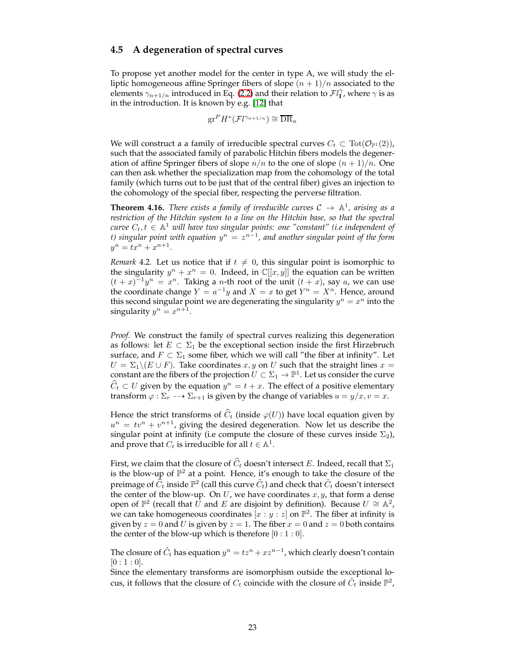### <span id="page-22-0"></span>**4.5 A degeneration of spectral curves**

To propose yet another model for the center in type A, we will study the elliptic homogeneous affine Springer fibers of slope  $(n + 1)/n$  associated to the elements  $\gamma_{n+1/n}$  introduced in Eq. [\(2.2\)](#page-6-4) and their relation to  $\mathcal{F}l_{\bf 1}^{\gamma}$ , where  $\gamma$  is as in the introduction. It is known by e.g. [\[12\]](#page-24-3) that

$$
\mathrm{gr}^P H^*(\mathcal{F} l^{\gamma_{n+1/n}}) \cong \overline{\mathrm{DR}}_n
$$

We will construct a a family of irreducible spectral curves  $C_t \subset \text{Tot}(\mathcal{O}_{\mathbb{P}^1}(2)),$ such that the associated family of parabolic Hitchin fibers models the degeneration of affine Springer fibers of slope  $n/n$  to the one of slope  $(n + 1)/n$ . One can then ask whether the specialization map from the cohomology of the total family (which turns out to be just that of the central fiber) gives an injection to the cohomology of the special fiber, respecting the perverse filtration.

<span id="page-22-1"></span>**Theorem 4.16.** *There exists a family of irreducible curves*  $C \rightarrow \mathbb{A}^1$ *, arising as a restriction of the Hitchin system to a line on the Hitchin base, so that the spectral*  $\textit{curve } C_t, t \, \in \, \mathbb{A}^1$  will have two singular points: one "constant" (i.e independent of t) singular point with equation  $y^n = z^{n-1}$ , and another singular point of the form  $y^n = tx^n + x^{n+1}.$ 

*Remark* 4.2*.* Let us notice that if  $t \neq 0$ , this singular point is isomorphic to the singularity  $y^n + x^n = 0$ . Indeed, in  $\mathbb{C}[[x, y]]$  the equation can be written  $(t+x)^{-1}y^n = x^n$ . Taking a *n*-th root of the unit  $(t+x)$ , say *a*, we can use the coordinate change  $Y = a^{-1}y$  and  $X = x$  to get  $Y^n = X^n$ . Hence, around this second singular point we are degenerating the singularity  $y^n = x^n$  into the singularity  $y^n = x^{n+1}$ .

*Proof.* We construct the family of spectral curves realizing this degeneration as follows: let  $E \subset \Sigma_1$  be the exceptional section inside the first Hirzebruch surface, and  $F \subset \Sigma_1$  some fiber, which we will call "the fiber at infinity". Let  $U = \Sigma_1 \backslash (E \cup F)$ . Take coordinates x, y on U such that the straight lines  $x =$ constant are the fibers of the projection  $U\subset \Sigma_1 \to \mathbb{P}^1.$  Let us consider the curve  $\widehat{C}_t \subset U$  given by the equation  $y^n = t + x$ . The effect of a positive elementary transform  $\varphi : \Sigma_r \dashrightarrow \Sigma_{r+1}$  is given by the change of variables  $u = y/x, v = x$ .

Hence the strict transforms of  $\widehat{C}_t$  (inside  $\varphi(U)$ ) have local equation given by  $u^n = tv^n + v^{n+1}$ , giving the desired degeneration. Now let us describe the singular point at infinity (i.e compute the closure of these curves inside  $\Sigma_2$ ), and prove that  $C_t$  is irreducible for all  $t \in \mathbb{A}^1$ .

First, we claim that the closure of  $\widehat{C}_t$  doesn't intersect E. Indeed, recall that  $\Sigma_1$ is the blow-up of  $\mathbb{P}^2$  at a point. Hence, it's enough to take the closure of the preimage of  $\widehat C_t$  inside  $\mathbb P^2$  (call this curve  $\tilde C_t$ ) and check that  $\tilde C_t$  doesn't intersect the center of the blow-up. On  $U$ , we have coordinates  $x, y$ , that form a dense open of  $\mathbb{P}^2$  (recall that  $\tilde{U}$  and  $E$  are disjoint by definition). Because  $U \cong \mathbb{A}^2$ , we can take homogeneous coordinates  $[x:y:z]$  on  $\mathbb{P}^2$ . The fiber at infinity is given by  $z = 0$  and U is given by  $z = 1$ . The fiber  $x = 0$  and  $z = 0$  both contains the center of the blow-up which is therefore  $[0:1:0]$ .

The closure of  $\tilde{C}_t$  has equation  $y^n = t z^n + x z^{n-1}$ , which clearly doesn't contain  $[0:1:0].$ 

Since the elementary transforms are isomorphism outside the exceptional locus, it follows that the closure of  $C_t$  coincide with the closure of  $\tilde{C}_t$  inside  $\mathbb{P}^2$ ,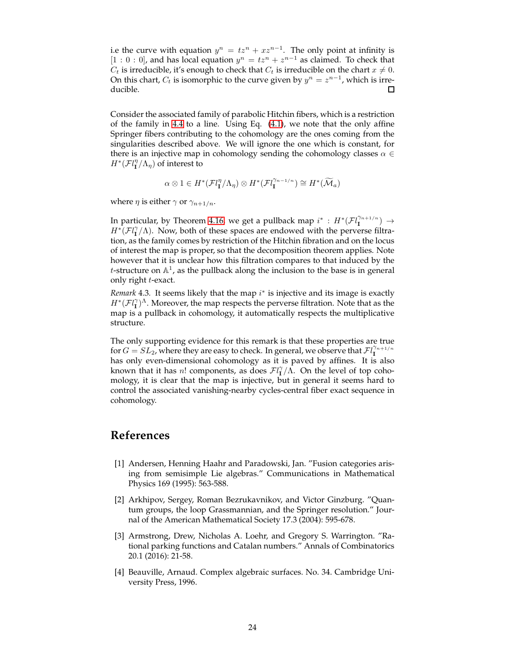i.e the curve with equation  $y^n = tz^n + xz^{n-1}$ . The only point at infinity is [1 : 0 : 0], and has local equation  $y^n = tz^n + z^{n-1}$  as claimed. To check that  $C_t$  is irreducible, it's enough to check that  $C_t$  is irreducible on the chart  $x \neq 0$ . On this chart,  $C_t$  is isomorphic to the curve given by  $y^n = z^{n-1}$ , which is irreducible.  $\Box$ 

Consider the associated family of parabolic Hitchin fibers, which is a restriction of the family in [4.4](#page-16-0) to a line. Using Eq. [\(4.1\)](#page-17-0), we note that the only affine Springer fibers contributing to the cohomology are the ones coming from the singularities described above. We will ignore the one which is constant, for there is an injective map in cohomology sending the cohomology classes  $\alpha \in$  $H^*$ ( $Fl_{\mathbf{I}}^{\eta}/\Lambda_{\eta}$ ) of interest to

$$
\alpha\otimes 1\in H^*(\mathcal{F}l_{\mathbf{I}}^{\eta}/\Lambda_{\eta})\otimes H^*(\mathcal{F}l_{\mathbf{I}}^{\gamma_{n-1/n}})\cong H^*(\widetilde{\mathcal{M}}_a)
$$

where  $\eta$  is either  $\gamma$  or  $\gamma_{n+1/n}$ .

In particular, by Theorem [4.16,](#page-22-1) we get a pullback map  $i^*$ :  $H^*(\mathcal{F}^{\gamma_{n+1/n}}_{\mathbf{I}}) \rightarrow$  $H^*(\mathcal{F}l_1^{\gamma}/\Lambda)$ . Now, both of these spaces are endowed with the perverse filtration, as the family comes by restriction of the Hitchin fibration and on the locus of interest the map is proper, so that the decomposition theorem applies. Note however that it is unclear how this filtration compares to that induced by the *t*-structure on  $\mathbb{A}^1$ , as the pullback along the inclusion to the base is in general only right t-exact.

*Remark* 4.3. It seems likely that the map i<sup>\*</sup> is injective and its image is exactly  $H^*(\mathcal{F}l_1^{\gamma})^{\Lambda}$ . Moreover, the map respects the perverse filtration. Note that as the map is a pullback in cohomology, it automatically respects the multiplicative structure.

The only supporting evidence for this remark is that these properties are true for  $G = SL_2$ , where they are easy to check. In general, we observe that  $FlI^{n+1/n}$ has only even-dimensional cohomology as it is paved by affines. It is also known that it has n! components, as does  $\mathcal{F}l_{\mathbf{I}}^{\gamma}/\hat{\Lambda}$ . On the level of top cohomology, it is clear that the map is injective, but in general it seems hard to control the associated vanishing-nearby cycles-central fiber exact sequence in cohomology.

## <span id="page-23-0"></span>**References**

- <span id="page-23-2"></span>[1] Andersen, Henning Haahr and Paradowski, Jan. "Fusion categories arising from semisimple Lie algebras." Communications in Mathematical Physics 169 (1995): 563-588.
- <span id="page-23-4"></span>[2] Arkhipov, Sergey, Roman Bezrukavnikov, and Victor Ginzburg. "Quantum groups, the loop Grassmannian, and the Springer resolution." Journal of the American Mathematical Society 17.3 (2004): 595-678.
- <span id="page-23-1"></span>[3] Armstrong, Drew, Nicholas A. Loehr, and Gregory S. Warrington. "Rational parking functions and Catalan numbers." Annals of Combinatorics 20.1 (2016): 21-58.
- <span id="page-23-3"></span>[4] Beauville, Arnaud. Complex algebraic surfaces. No. 34. Cambridge University Press, 1996.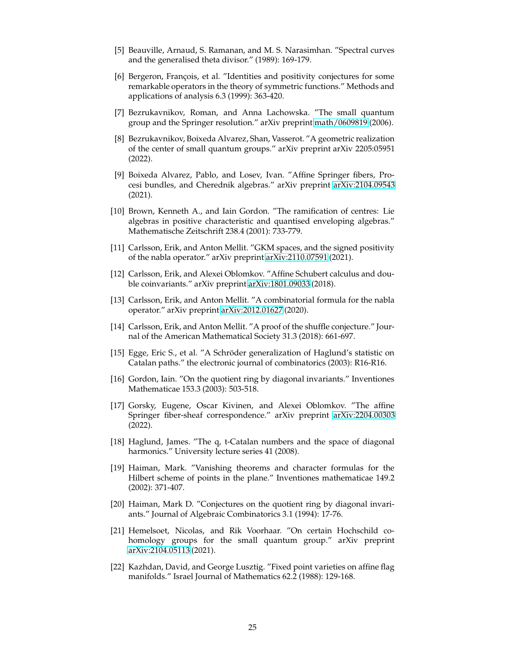- <span id="page-24-13"></span>[5] Beauville, Arnaud, S. Ramanan, and M. S. Narasimhan. "Spectral curves and the generalised theta divisor." (1989): 169-179.
- <span id="page-24-8"></span>[6] Bergeron, François, et al. "Identities and positivity conjectures for some remarkable operators in the theory of symmetric functions." Methods and applications of analysis 6.3 (1999): 363-420.
- <span id="page-24-1"></span><span id="page-24-0"></span>[7] Bezrukavnikov, Roman, and Anna Lachowska. "The small quantum group and the Springer resolution." arXiv preprint [math/0609819](http://arxiv.org/abs/math/0609819) (2006).
- [8] Bezrukavnikov, Boixeda Alvarez, Shan, Vasserot. "A geometric realization of the center of small quantum groups." arXiv preprint arXiv 2205:05951 (2022).
- <span id="page-24-4"></span>[9] Boixeda Alvarez, Pablo, and Losev, Ivan. "Affine Springer fibers, Procesi bundles, and Cherednik algebras." arXiv preprint [arXiv:2104.09543](http://arxiv.org/abs/2104.09543) (2021).
- <span id="page-24-12"></span>[10] Brown, Kenneth A., and Iain Gordon. "The ramification of centres: Lie algebras in positive characteristic and quantised enveloping algebras." Mathematische Zeitschrift 238.4 (2001): 733-779.
- <span id="page-24-2"></span>[11] Carlsson, Erik, and Anton Mellit. "GKM spaces, and the signed positivity of the nabla operator." arXiv preprint [arXiv:2110.07591](http://arxiv.org/abs/2110.07591) (2021).
- <span id="page-24-3"></span>[12] Carlsson, Erik, and Alexei Oblomkov. "Affine Schubert calculus and double coinvariants." arXiv preprint [arXiv:1801.09033](http://arxiv.org/abs/1801.09033) (2018).
- <span id="page-24-15"></span>[13] Carlsson, Erik, and Anton Mellit. "A combinatorial formula for the nabla operator." arXiv preprint [arXiv:2012.01627](http://arxiv.org/abs/2012.01627) (2020).
- <span id="page-24-17"></span>[14] Carlsson, Erik, and Anton Mellit. "A proof of the shuffle conjecture." Journal of the American Mathematical Society 31.3 (2018): 661-697.
- <span id="page-24-10"></span>[15] Egge, Eric S., et al. "A Schröder generalization of Haglund's statistic on Catalan paths." the electronic journal of combinatorics (2003): R16-R16.
- <span id="page-24-5"></span>[16] Gordon, Iain. "On the quotient ring by diagonal invariants." Inventiones Mathematicae 153.3 (2003): 503-518.
- <span id="page-24-6"></span>[17] Gorsky, Eugene, Oscar Kivinen, and Alexei Oblomkov. "The affine Springer fiber-sheaf correspondence." arXiv preprint [arXiv:2204.00303](http://arxiv.org/abs/2204.00303) (2022).
- <span id="page-24-14"></span>[18] Haglund, James. "The q, t-Catalan numbers and the space of diagonal harmonics." University lecture series 41 (2008).
- <span id="page-24-9"></span>[19] Haiman, Mark. "Vanishing theorems and character formulas for the Hilbert scheme of points in the plane." Inventiones mathematicae 149.2 (2002): 371-407.
- <span id="page-24-7"></span>[20] Haiman, Mark D. "Conjectures on the quotient ring by diagonal invariants." Journal of Algebraic Combinatorics 3.1 (1994): 17-76.
- <span id="page-24-11"></span>[21] Hemelsoet, Nicolas, and Rik Voorhaar. "On certain Hochschild cohomology groups for the small quantum group." arXiv preprint [arXiv:2104.05113](http://arxiv.org/abs/2104.05113) (2021).
- <span id="page-24-16"></span>[22] Kazhdan, David, and George Lusztig. "Fixed point varieties on affine flag manifolds." Israel Journal of Mathematics 62.2 (1988): 129-168.